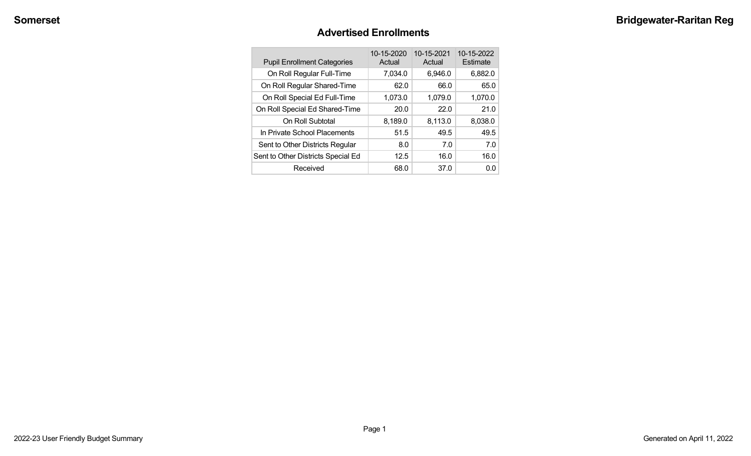#### **Advertised Enrollments**

| <b>Pupil Enrollment Categories</b> | 10-15-2020<br>Actual | 10-15-2021<br>Actual | 10-15-2022<br>Estimate |
|------------------------------------|----------------------|----------------------|------------------------|
| On Roll Regular Full-Time          | 7,034.0              | 6,946.0              | 6,882.0                |
| On Roll Regular Shared-Time        | 62.0                 | 66.0                 | 65.0                   |
| On Roll Special Ed Full-Time       | 1,073.0              | 1,079.0              | 1,070.0                |
| On Roll Special Ed Shared-Time     | 20.0                 | 22.0                 | 21.0                   |
| On Roll Subtotal                   | 8,189.0              | 8,113.0              | 8,038.0                |
| In Private School Placements       | 51.5                 | 49.5                 | 49.5                   |
| Sent to Other Districts Regular    | 8.0                  | 7.0                  | 7.0                    |
| Sent to Other Districts Special Ed | 12.5                 | 16.0                 | 16.0                   |
| Received                           | 68.0                 | 37.0                 | 0.0                    |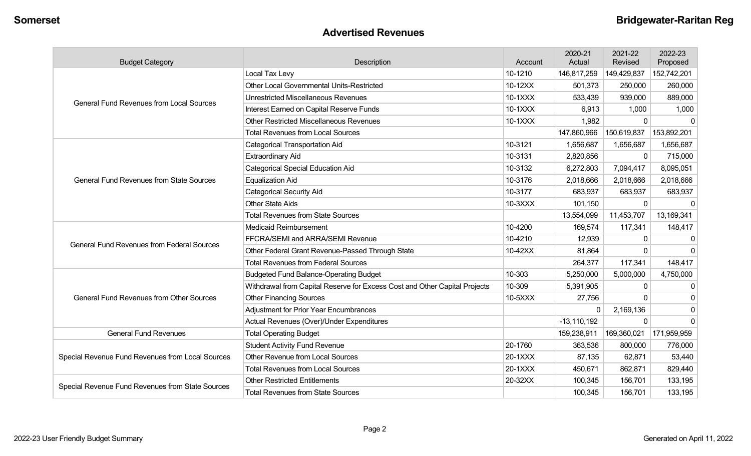#### **Advertised Revenues**

| <b>Budget Category</b>                                        | Description                                                                | Account | 2020-21<br>Actual | 2021-22<br>Revised | 2022-23<br>Proposed |
|---------------------------------------------------------------|----------------------------------------------------------------------------|---------|-------------------|--------------------|---------------------|
|                                                               | Local Tax Levy                                                             | 10-1210 | 146,817,259       | 149,429,837        | 152,742,201         |
|                                                               | <b>Other Local Governmental Units-Restricted</b>                           | 10-12XX | 501,373           | 250,000            | 260,000             |
| <b>General Fund Revenues from Local Sources</b>               | <b>Unrestricted Miscellaneous Revenues</b>                                 | 10-1XXX | 533,439           | 939,000            | 889,000             |
|                                                               | Interest Earned on Capital Reserve Funds                                   | 10-1XXX | 6,913             | 1,000              | 1,000               |
|                                                               | <b>Other Restricted Miscellaneous Revenues</b>                             | 10-1XXX | 1,982             | $\Omega$           | $\Omega$            |
|                                                               | <b>Total Revenues from Local Sources</b>                                   |         | 147,860,966       | 150,619,837        | 153,892,201         |
|                                                               | <b>Categorical Transportation Aid</b>                                      | 10-3121 | 1,656,687         | 1,656,687          | 1,656,687           |
|                                                               | <b>Extraordinary Aid</b>                                                   | 10-3131 | 2,820,856         | $\Omega$           | 715,000             |
|                                                               | <b>Categorical Special Education Aid</b>                                   | 10-3132 | 6,272,803         | 7,094,417          | 8,095,051           |
| <b>General Fund Revenues from State Sources</b>               | <b>Equalization Aid</b>                                                    | 10-3176 | 2,018,666         | 2,018,666          | 2,018,666           |
|                                                               | <b>Categorical Security Aid</b>                                            | 10-3177 | 683,937           | 683,937            | 683,937             |
|                                                               | <b>Other State Aids</b>                                                    | 10-3XXX | 101,150           | $\Omega$           |                     |
|                                                               | <b>Total Revenues from State Sources</b>                                   |         | 13,554,099        | 11,453,707         | 13,169,341          |
|                                                               | <b>Medicaid Reimbursement</b>                                              | 10-4200 | 169,574           | 117,341            | 148,417             |
| <b>General Fund Revenues from Federal Sources</b>             | FFCRA/SEMI and ARRA/SEMI Revenue                                           | 10-4210 | 12,939            | $\Omega$           | $\Omega$            |
|                                                               | Other Federal Grant Revenue-Passed Through State                           | 10-42XX | 81,864            | $\Omega$           | $\Omega$            |
|                                                               | <b>Total Revenues from Federal Sources</b>                                 |         | 264,377           | 117,341            | 148,417             |
|                                                               | <b>Budgeted Fund Balance-Operating Budget</b>                              | 10-303  | 5,250,000         | 5,000,000          | 4,750,000           |
|                                                               | Withdrawal from Capital Reserve for Excess Cost and Other Capital Projects | 10-309  | 5,391,905         | $\Omega$           | $\mathbf 0$         |
| <b>General Fund Revenues from Other Sources</b>               | <b>Other Financing Sources</b>                                             | 10-5XXX | 27,756            | $\Omega$           | 0                   |
|                                                               | Adjustment for Prior Year Encumbrances                                     |         | 0                 | 2,169,136          | $\mathbf 0$         |
|                                                               | Actual Revenues (Over)/Under Expenditures                                  |         | $-13,110,192$     | $\Omega$           | $\mathbf{0}$        |
| <b>General Fund Revenues</b><br><b>Total Operating Budget</b> |                                                                            |         | 159,238,911       | 169,360,021        | 171,959,959         |
|                                                               | <b>Student Activity Fund Revenue</b>                                       | 20-1760 | 363,536           | 800,000            | 776,000             |
| Special Revenue Fund Revenues from Local Sources              | <b>Other Revenue from Local Sources</b>                                    | 20-1XXX | 87,135            | 62,871             | 53,440              |
|                                                               | <b>Total Revenues from Local Sources</b>                                   | 20-1XXX | 450,671           | 862,871            | 829,440             |
|                                                               | <b>Other Restricted Entitlements</b>                                       | 20-32XX | 100,345           | 156,701            | 133,195             |
| Special Revenue Fund Revenues from State Sources              | <b>Total Revenues from State Sources</b>                                   |         | 100,345           | 156,701            | 133,195             |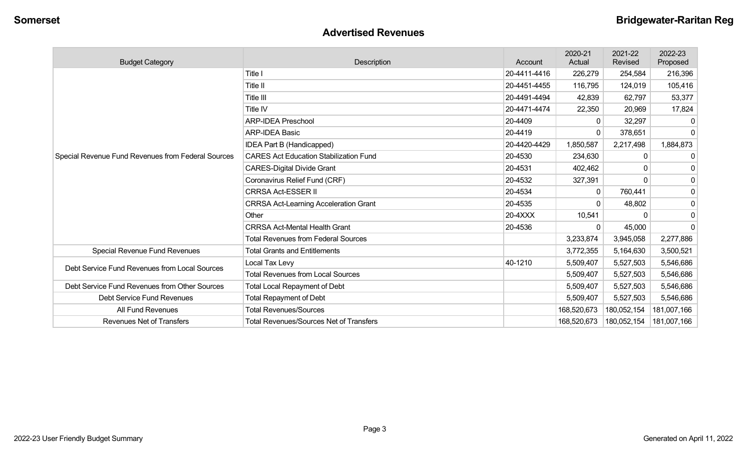#### **Advertised Revenues**

| <b>Budget Category</b>                             | Description                                    | Account      | 2020-21<br>Actual | 2021-22<br>Revised | 2022-23<br>Proposed |
|----------------------------------------------------|------------------------------------------------|--------------|-------------------|--------------------|---------------------|
|                                                    | Title I                                        | 20-4411-4416 | 226,279           | 254,584            | 216,396             |
|                                                    | Title II                                       | 20-4451-4455 | 116,795           | 124,019            | 105,416             |
|                                                    | <b>Title III</b>                               | 20-4491-4494 | 42,839            | 62,797             | 53,377              |
|                                                    | Title IV                                       | 20-4471-4474 | 22,350            | 20,969             | 17,824              |
|                                                    | <b>ARP-IDEA Preschool</b>                      | 20-4409      | 0                 | 32,297             | $\mathbf{0}$        |
|                                                    | <b>ARP-IDEA Basic</b>                          | 20-4419      |                   | 378,651            | $\mathbf{0}$        |
|                                                    | <b>IDEA Part B (Handicapped)</b>               | 20-4420-4429 | 1,850,587         | 2,217,498          | 1,884,873           |
| Special Revenue Fund Revenues from Federal Sources | <b>CARES Act Education Stabilization Fund</b>  | 20-4530      | 234,630           |                    | 0                   |
|                                                    | <b>CARES-Digital Divide Grant</b>              | 20-4531      | 402,462           |                    | 0                   |
|                                                    | Coronavirus Relief Fund (CRF)                  | 20-4532      | 327,391           |                    | $\mathbf 0$         |
|                                                    | <b>CRRSA Act-ESSER II</b>                      | 20-4534      | $\Omega$          | 760,441            | $\mathbf 0$         |
|                                                    | <b>CRRSA Act-Learning Acceleration Grant</b>   | 20-4535      |                   | 48,802             | $\mathbf 0$         |
|                                                    | Other                                          | 20-4XXX      | 10,541            |                    | $\mathbf 0$         |
|                                                    | <b>CRRSA Act-Mental Health Grant</b>           | 20-4536      | $\Omega$          | 45,000             | 0                   |
|                                                    | <b>Total Revenues from Federal Sources</b>     |              | 3,233,874         | 3,945,058          | 2,277,886           |
| Special Revenue Fund Revenues                      | <b>Total Grants and Entitlements</b>           |              | 3,772,355         | 5,164,630          | 3,500,521           |
| Debt Service Fund Revenues from Local Sources      | Local Tax Levy                                 | 40-1210      | 5,509,407         | 5,527,503          | 5,546,686           |
|                                                    | <b>Total Revenues from Local Sources</b>       |              | 5,509,407         | 5,527,503          | 5,546,686           |
| Debt Service Fund Revenues from Other Sources      | <b>Total Local Repayment of Debt</b>           |              | 5,509,407         | 5,527,503          | 5,546,686           |
| Debt Service Fund Revenues                         | <b>Total Repayment of Debt</b>                 |              | 5,509,407         | 5,527,503          | 5,546,686           |
| All Fund Revenues                                  | <b>Total Revenues/Sources</b>                  |              | 168,520,673       | 180,052,154        | 181,007,166         |
| <b>Revenues Net of Transfers</b>                   | <b>Total Revenues/Sources Net of Transfers</b> |              | 168,520,673       | 180,052,154        | 181,007,166         |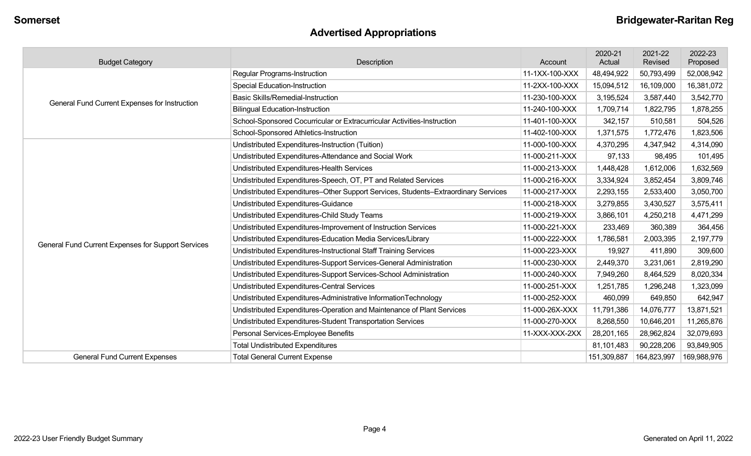# **Advertised Appropriations**

| <b>Budget Category</b>                             | Description                                                                        | Account        | 2020-21<br>Actual | 2021-22<br>Revised | 2022-23<br>Proposed |
|----------------------------------------------------|------------------------------------------------------------------------------------|----------------|-------------------|--------------------|---------------------|
|                                                    | <b>Regular Programs-Instruction</b>                                                | 11-1XX-100-XXX | 48,494,922        | 50,793,499         | 52,008,942          |
|                                                    | <b>Special Education-Instruction</b>                                               | 11-2XX-100-XXX | 15,094,512        | 16,109,000         | 16,381,072          |
| General Fund Current Expenses for Instruction      | <b>Basic Skills/Remedial-Instruction</b>                                           | 11-230-100-XXX | 3,195,524         | 3,587,440          | 3,542,770           |
|                                                    | <b>Bilingual Education-Instruction</b>                                             | 11-240-100-XXX | 1,709,714         | 1,822,795          | 1,878,255           |
|                                                    | School-Sponsored Cocurricular or Extracurricular Activities-Instruction            | 11-401-100-XXX | 342,157           | 510,581            | 504,526             |
|                                                    | School-Sponsored Athletics-Instruction                                             | 11-402-100-XXX | 1,371,575         | 1,772,476          | 1,823,506           |
|                                                    | Undistributed Expenditures-Instruction (Tuition)                                   | 11-000-100-XXX | 4,370,295         | 4,347,942          | 4,314,090           |
|                                                    | Undistributed Expenditures-Attendance and Social Work                              | 11-000-211-XXX | 97,133            | 98,495             | 101,495             |
|                                                    | Undistributed Expenditures-Health Services                                         | 11-000-213-XXX | 1,448,428         | 1,612,006          | 1,632,569           |
|                                                    | Undistributed Expenditures-Speech, OT, PT and Related Services                     | 11-000-216-XXX | 3,334,924         | 3,852,454          | 3,809,746           |
|                                                    | Undistributed Expenditures-Other Support Services, Students-Extraordinary Services | 11-000-217-XXX | 2,293,155         | 2,533,400          | 3,050,700           |
|                                                    | Undistributed Expenditures-Guidance                                                | 11-000-218-XXX | 3,279,855         | 3,430,527          | 3,575,411           |
|                                                    | Undistributed Expenditures-Child Study Teams                                       | 11-000-219-XXX | 3,866,101         | 4,250,218          | 4,471,299           |
|                                                    | Undistributed Expenditures-Improvement of Instruction Services                     | 11-000-221-XXX | 233,469           | 360,389            | 364,456             |
| General Fund Current Expenses for Support Services | Undistributed Expenditures-Education Media Services/Library                        | 11-000-222-XXX | 1,786,581         | 2,003,395          | 2,197,779           |
|                                                    | Undistributed Expenditures-Instructional Staff Training Services                   | 11-000-223-XXX | 19,927            | 411,890            | 309,600             |
|                                                    | Undistributed Expenditures-Support Services-General Administration                 | 11-000-230-XXX | 2,449,370         | 3,231,061          | 2,819,290           |
|                                                    | Undistributed Expenditures-Support Services-School Administration                  | 11-000-240-XXX | 7,949,260         | 8,464,529          | 8,020,334           |
|                                                    | Undistributed Expenditures-Central Services                                        | 11-000-251-XXX | 1,251,785         | 1,296,248          | 1,323,099           |
|                                                    | Undistributed Expenditures-Administrative InformationTechnology                    | 11-000-252-XXX | 460,099           | 649,850            | 642,947             |
|                                                    | Undistributed Expenditures-Operation and Maintenance of Plant Services             | 11-000-26X-XXX | 11,791,386        | 14,076,777         | 13,871,521          |
|                                                    | Undistributed Expenditures-Student Transportation Services                         | 11-000-270-XXX | 8,268,550         | 10,646,201         | 11,265,876          |
|                                                    | Personal Services-Employee Benefits                                                | 11-XXX-XXX-2XX | 28,201,165        | 28,962,824         | 32,079,693          |
|                                                    | <b>Total Undistributed Expenditures</b>                                            |                | 81,101,483        | 90,228,206         | 93,849,905          |
| <b>General Fund Current Expenses</b>               | <b>Total General Current Expense</b>                                               |                | 151,309,887       | 164,823,997        | 169,988,976         |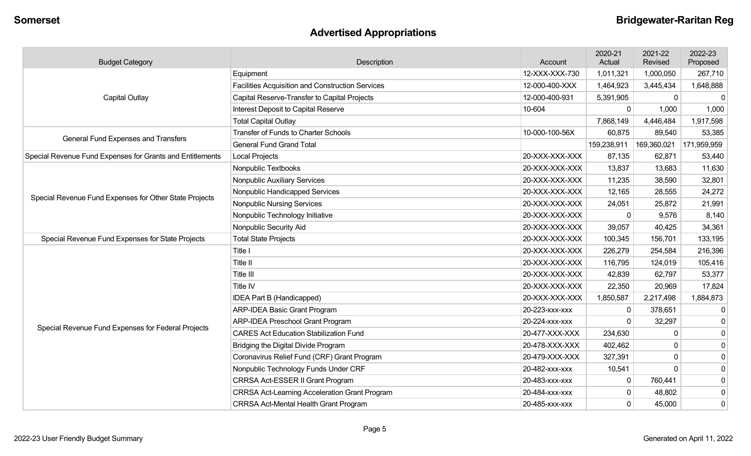# **Advertised Appropriations**

| <b>Budget Category</b>                                                             | Description                                             | Account        | 2020-21<br>Actual | 2021-22<br>Revised | 2022-23<br>Proposed |
|------------------------------------------------------------------------------------|---------------------------------------------------------|----------------|-------------------|--------------------|---------------------|
|                                                                                    | Equipment                                               | 12-XXX-XXX-730 | 1,011,321         | 1,000,050          | 267,710             |
|                                                                                    | <b>Facilities Acquisition and Construction Services</b> | 12-000-400-XXX | 1,464,923         | 3,445,434          | 1,648,888           |
| Capital Outlay                                                                     | Capital Reserve-Transfer to Capital Projects            | 12-000-400-931 | 5,391,905         | 0                  | 0                   |
|                                                                                    | Interest Deposit to Capital Reserve                     | 10-604         | $\mathbf{0}$      | 1,000              | 1,000               |
|                                                                                    | <b>Total Capital Outlay</b>                             |                | 7,868,149         | 4,446,484          | 1,917,598           |
| General Fund Expenses and Transfers                                                | <b>Transfer of Funds to Charter Schools</b>             | 10-000-100-56X | 60,875            | 89,540             | 53,385              |
|                                                                                    | <b>General Fund Grand Total</b>                         |                | 159,238,911       | 169,360,021        | 171,959,959         |
| Special Revenue Fund Expenses for Grants and Entitlements<br><b>Local Projects</b> |                                                         | 20-XXX-XXX-XXX | 87,135            | 62,871             | 53,440              |
|                                                                                    | Nonpublic Textbooks                                     | 20-XXX-XXX-XXX | 13,837            | 13,683             | 11,630              |
|                                                                                    | Nonpublic Auxiliary Services                            | 20-XXX-XXX-XXX | 11,235            | 38,590             | 32,801              |
| Special Revenue Fund Expenses for Other State Projects                             | Nonpublic Handicapped Services                          | 20-XXX-XXX-XXX | 12,165            | 28,555             | 24,272              |
|                                                                                    | <b>Nonpublic Nursing Services</b>                       | 20-XXX-XXX-XXX | 24,051            | 25,872             | 21,991              |
|                                                                                    | Nonpublic Technology Initiative                         | 20-XXX-XXX-XXX | $\mathbf 0$       | 9,576              | 8,140               |
|                                                                                    | Nonpublic Security Aid                                  | 20-XXX-XXX-XXX | 39,057            | 40,425             | 34,361              |
| Special Revenue Fund Expenses for State Projects                                   | <b>Total State Projects</b>                             | 20-XXX-XXX-XXX | 100,345           | 156,701            | 133,195             |
|                                                                                    | Title I                                                 | 20-XXX-XXX-XXX | 226,279           | 254,584            | 216,396             |
|                                                                                    | Title II                                                | 20-XXX-XXX-XXX | 116,795           | 124,019            | 105,416             |
|                                                                                    | Title III                                               | 20-XXX-XXX-XXX | 42,839            | 62,797             | 53,377              |
|                                                                                    | <b>Title IV</b>                                         | 20-XXX-XXX-XXX | 22,350            | 20,969             | 17,824              |
|                                                                                    | IDEA Part B (Handicapped)                               | 20-XXX-XXX-XXX | 1,850,587         | 2,217,498          | 1,884,873           |
|                                                                                    | <b>ARP-IDEA Basic Grant Program</b>                     | 20-223-xxx-xxx | 0                 | 378,651            | 0                   |
|                                                                                    | <b>ARP-IDEA Preschool Grant Program</b>                 | 20-224-xxx-xxx | $\Omega$          | 32,297             | 0                   |
| Special Revenue Fund Expenses for Federal Projects                                 | <b>CARES Act Education Stabilization Fund</b>           | 20-477-XXX-XXX | 234,630           | 0                  | $\mathbf 0$         |
|                                                                                    | Bridging the Digital Divide Program                     | 20-478-XXX-XXX | 402,462           | $\mathbf{0}$       | 0                   |
|                                                                                    | Coronavirus Relief Fund (CRF) Grant Program             | 20-479-XXX-XXX | 327,391           | 0                  | 0                   |
|                                                                                    | Nonpublic Technology Funds Under CRF                    | 20-482-xxx-xxx | 10,541            | $\Omega$           | 0                   |
|                                                                                    | CRRSA Act-ESSER II Grant Program                        | 20-483-xxx-xxx | 0                 | 760,441            | 0                   |
|                                                                                    | <b>CRRSA Act-Learning Acceleration Grant Program</b>    | 20-484-xxx-xxx | $\mathbf 0$       | 48,802             | 0                   |
|                                                                                    | CRRSA Act-Mental Health Grant Program                   | 20-485-xxx-xxx | $\mathbf 0$       | 45,000             | $\mathbf 0$         |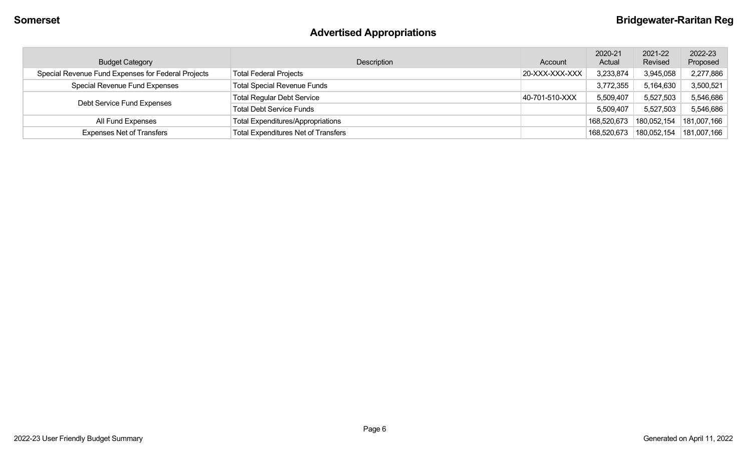# **Advertised Appropriations**

| <b>Budget Category</b>                             | Description                                | Account        | 2020-21<br>Actual | 2021-22<br>Revised | 2022-23<br>Proposed |
|----------------------------------------------------|--------------------------------------------|----------------|-------------------|--------------------|---------------------|
| Special Revenue Fund Expenses for Federal Projects | <b>Total Federal Projects</b>              | 20-XXX-XXX-XXX | 3,233,874         | 3,945,058          | 2,277,886           |
| Special Revenue Fund Expenses                      | <b>Total Special Revenue Funds</b>         |                | 3,772,355         | 5,164,630          | 3,500,521           |
| Debt Service Fund Expenses                         | <b>Total Regular Debt Service</b>          | 40-701-510-XXX | 5,509,407         | 5,527,503          | 5,546,686           |
|                                                    | <b>Total Debt Service Funds</b>            |                | 5,509,407         | 5,527,503          | 5,546,686           |
| All Fund Expenses                                  | <b>Total Expenditures/Appropriations</b>   |                | 168,520,673       | 180,052,154        | 181,007,166         |
| <b>Expenses Net of Transfers</b>                   | <b>Total Expenditures Net of Transfers</b> |                | 168,520,673       | 180,052,154        | 181,007,166         |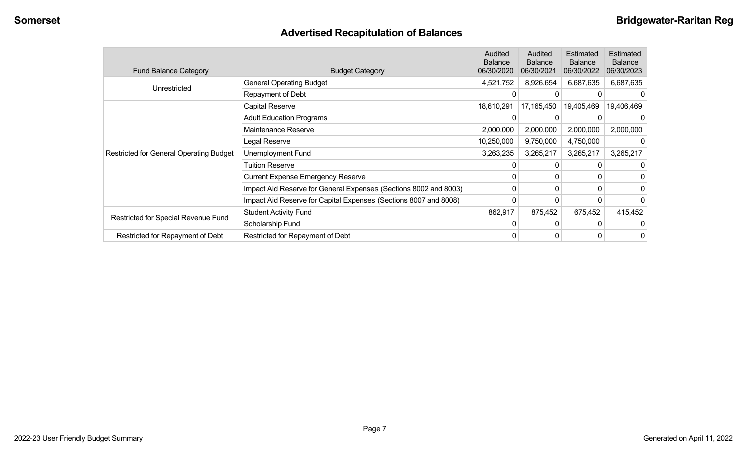# **Advertised Recapitulation of Balances**

| <b>Fund Balance Category</b>                   | <b>Budget Category</b>                                           | Audited<br><b>Balance</b><br>06/30/2020 | Audited<br><b>Balance</b><br>06/30/2021 | Estimated<br><b>Balance</b><br>06/30/2022 | <b>Estimated</b><br><b>Balance</b><br>06/30/2023 |
|------------------------------------------------|------------------------------------------------------------------|-----------------------------------------|-----------------------------------------|-------------------------------------------|--------------------------------------------------|
| Unrestricted                                   | <b>General Operating Budget</b>                                  | 4,521,752                               | 8,926,654                               | 6,687,635                                 | 6,687,635                                        |
|                                                | Repayment of Debt                                                | 0                                       |                                         |                                           |                                                  |
|                                                | Capital Reserve                                                  | 18,610,291                              | 17,165,450                              | 19,405,469                                | 19,406,469                                       |
|                                                | <b>Adult Education Programs</b>                                  | 0                                       |                                         |                                           |                                                  |
|                                                | Maintenance Reserve                                              | 2,000,000                               | 2,000,000                               | 2,000,000                                 | 2,000,000                                        |
|                                                | Legal Reserve                                                    | 10,250,000                              | 9,750,000                               | 4,750,000                                 |                                                  |
| <b>Restricted for General Operating Budget</b> | Unemployment Fund                                                | 3,263,235                               | 3,265,217                               | 3,265,217                                 | 3,265,217                                        |
|                                                | Tuition Reserve                                                  |                                         | 0                                       |                                           |                                                  |
|                                                | <b>Current Expense Emergency Reserve</b>                         | 0                                       | $\mathbf{0}$                            | 0                                         |                                                  |
|                                                | Impact Aid Reserve for General Expenses (Sections 8002 and 8003) | 0                                       | 0                                       | $\Omega$                                  |                                                  |
|                                                | Impact Aid Reserve for Capital Expenses (Sections 8007 and 8008) | 0                                       | 0                                       |                                           |                                                  |
|                                                | <b>Student Activity Fund</b>                                     | 862,917                                 | 875,452                                 | 675,452                                   | 415,452                                          |
| Restricted for Special Revenue Fund            | Scholarship Fund                                                 | 0                                       | $\Omega$                                |                                           |                                                  |
| Restricted for Repayment of Debt               | Restricted for Repayment of Debt                                 | 0                                       | 0                                       |                                           | 0                                                |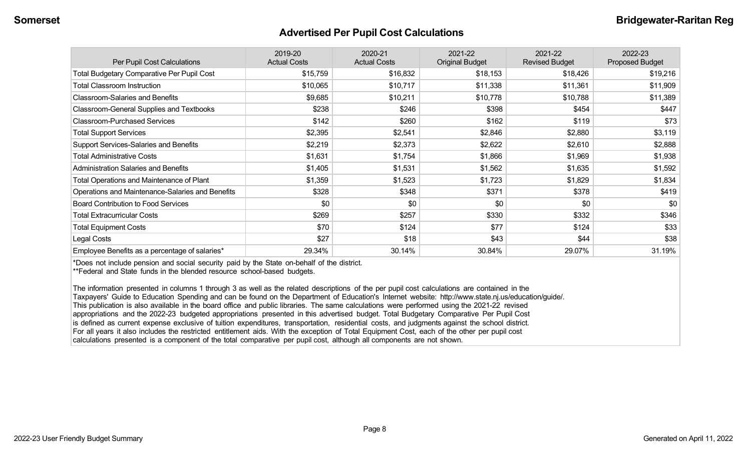#### **Advertised Per Pupil Cost Calculations**

| Per Pupil Cost Calculations                       | 2019-20<br><b>Actual Costs</b> | 2020-21<br><b>Actual Costs</b> | 2021-22<br><b>Original Budget</b> | 2021-22<br><b>Revised Budget</b> | 2022-23<br><b>Proposed Budget</b> |
|---------------------------------------------------|--------------------------------|--------------------------------|-----------------------------------|----------------------------------|-----------------------------------|
| <b>Total Budgetary Comparative Per Pupil Cost</b> | \$15,759                       | \$16,832                       | \$18,153                          | \$18,426                         | \$19,216                          |
| <b>Total Classroom Instruction</b>                | \$10,065                       | \$10,717                       | \$11,338                          | \$11,361                         | \$11,909                          |
| <b>Classroom-Salaries and Benefits</b>            | \$9,685                        | \$10,211                       | \$10,778                          | \$10,788                         | \$11,389                          |
| Classroom-General Supplies and Textbooks          | \$238                          | \$246                          | \$398                             | \$454                            | \$447                             |
| <b>Classroom-Purchased Services</b>               | \$142                          | \$260                          | \$162                             | \$119                            | \$73                              |
| <b>Total Support Services</b>                     | \$2,395                        | \$2,541                        | \$2,846                           | \$2,880                          | \$3,119                           |
| Support Services-Salaries and Benefits            | \$2,219                        | \$2,373                        | \$2,622                           | \$2,610                          | \$2,888                           |
| <b>Total Administrative Costs</b>                 | \$1,631                        | \$1,754                        | \$1,866                           | \$1,969                          | \$1,938                           |
| <b>Administration Salaries and Benefits</b>       | \$1,405                        | \$1,531                        | \$1,562                           | \$1,635                          | \$1,592                           |
| Total Operations and Maintenance of Plant         | \$1,359                        | \$1,523                        | \$1,723                           | \$1,829                          | \$1,834                           |
| Operations and Maintenance-Salaries and Benefits  | \$328                          | \$348                          | \$371                             | \$378                            | \$419                             |
| <b>Board Contribution to Food Services</b>        | \$0                            | \$0                            | \$0                               | \$0                              | \$0                               |
| <b>Total Extracurricular Costs</b>                | \$269                          | \$257                          | \$330                             | \$332                            | \$346                             |
| <b>Total Equipment Costs</b>                      | \$70                           | \$124                          | \$77                              | \$124                            | \$33                              |
| Legal Costs                                       | \$27                           | \$18                           | \$43                              | \$44                             | \$38                              |
| Employee Benefits as a percentage of salaries*    | 29.34%                         | 30.14%                         | 30.84%                            | 29.07%                           | 31.19%                            |

\*Does not include pension and social security paid by the State on-behalf of the district.

\*\*Federal and State funds in the blended resource school-based budgets.

The information presented in columns 1 through 3 as well as the related descriptions of the per pupil cost calculations are contained in the Taxpayers' Guide to Education Spending and can be found on the Department of Education's Internet website: http://www.state.nj.us/education/guide/. This publication is also available in the board office and public libraries. The same calculations were performed using the 2021-22 revised appropriations and the 2022-23 budgeted appropriations presented in this advertised budget. Total Budgetary Comparative Per Pupil Cost is defined as current expense exclusive of tuition expenditures, transportation, residential costs, and judgments against the school district. For all years it also includes the restricted entitlement aids. With the exception of Total Equipment Cost, each of the other per pupil cost calculations presented is a component of the total comparative per pupil cost, although all components are not shown.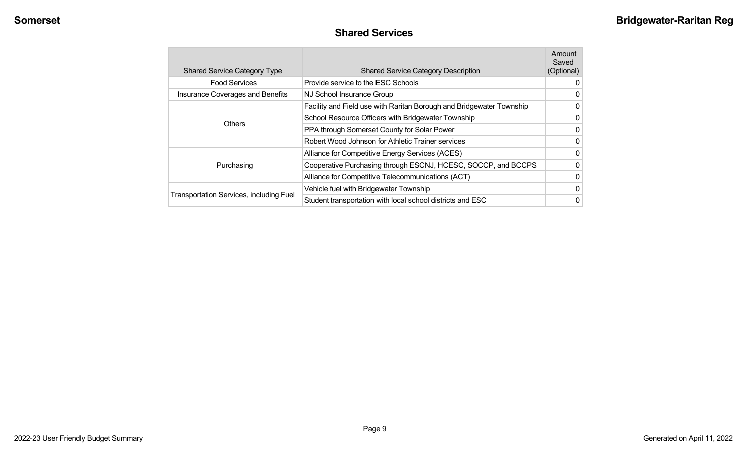#### **Shared Services**

| <b>Shared Service Category Type</b>            | <b>Shared Service Category Description</b>                           | Amount<br>Saved<br>(Optional) |  |
|------------------------------------------------|----------------------------------------------------------------------|-------------------------------|--|
| <b>Food Services</b>                           | Provide service to the ESC Schools                                   | 0                             |  |
| <b>Insurance Coverages and Benefits</b>        | NJ School Insurance Group                                            |                               |  |
|                                                | Facility and Field use with Raritan Borough and Bridgewater Township | 0                             |  |
| <b>Others</b>                                  | School Resource Officers with Bridgewater Township                   | $\mathbf{0}$                  |  |
|                                                | PPA through Somerset County for Solar Power                          | $\mathbf{0}$                  |  |
|                                                | Robert Wood Johnson for Athletic Trainer services                    | 0                             |  |
|                                                | Alliance for Competitive Energy Services (ACES)                      | $\mathbf 0$                   |  |
| Purchasing                                     | Cooperative Purchasing through ESCNJ, HCESC, SOCCP, and BCCPS        | $\mathbf{0}$                  |  |
|                                                | Alliance for Competitive Telecommunications (ACT)                    | $\overline{0}$                |  |
|                                                | Vehicle fuel with Bridgewater Township                               | $\mathbf{0}$                  |  |
| <b>Transportation Services, including Fuel</b> | Student transportation with local school districts and ESC           | 0                             |  |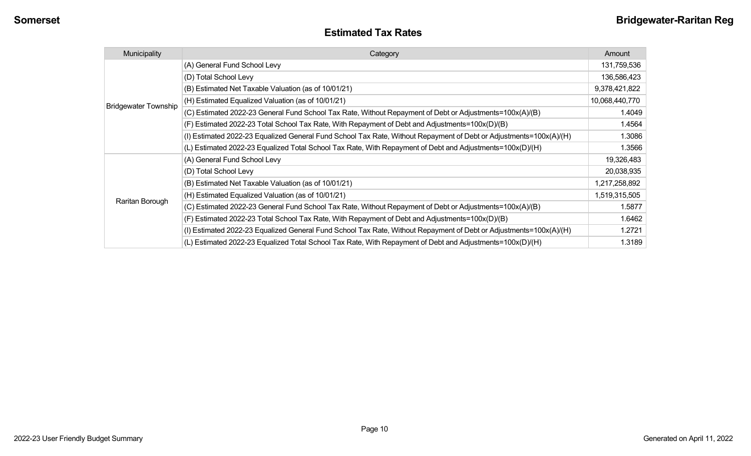| <b>Estimated Tax Rates</b> |
|----------------------------|
|----------------------------|

| Municipality                | Category                                                                                                           | Amount         |
|-----------------------------|--------------------------------------------------------------------------------------------------------------------|----------------|
|                             | (A) General Fund School Levy                                                                                       | 131,759,536    |
|                             | (D) Total School Levy                                                                                              | 136,586,423    |
|                             | (B) Estimated Net Taxable Valuation (as of 10/01/21)                                                               | 9,378,421,822  |
| <b>Bridgewater Township</b> | (H) Estimated Equalized Valuation (as of 10/01/21)                                                                 | 10,068,440,770 |
|                             | (C) Estimated 2022-23 General Fund School Tax Rate, Without Repayment of Debt or Adjustments=100x(A)/(B)           | 1.4049         |
|                             | (F) Estimated 2022-23 Total School Tax Rate, With Repayment of Debt and Adjustments=100x(D)/(B)                    | 1.4564         |
|                             | (I) Estimated 2022-23 Equalized General Fund School Tax Rate, Without Repayment of Debt or Adjustments=100x(A)/(H) | 1.3086         |
|                             | (L) Estimated 2022-23 Equalized Total School Tax Rate, With Repayment of Debt and Adjustments=100x(D)/(H)          | 1.3566         |
|                             | (A) General Fund School Levy                                                                                       | 19,326,483     |
|                             | (D) Total School Levy                                                                                              | 20,038,935     |
|                             | (B) Estimated Net Taxable Valuation (as of 10/01/21)                                                               | 1,217,258,892  |
|                             | (H) Estimated Equalized Valuation (as of 10/01/21)                                                                 | 1,519,315,505  |
| Raritan Borough             | (C) Estimated 2022-23 General Fund School Tax Rate, Without Repayment of Debt or Adjustments=100x(A)/(B)           | 1.5877         |
|                             | (F) Estimated 2022-23 Total School Tax Rate, With Repayment of Debt and Adjustments=100x(D)/(B)                    | 1.6462         |
|                             | (I) Estimated 2022-23 Equalized General Fund School Tax Rate, Without Repayment of Debt or Adjustments=100x(A)/(H) | 1.2721         |
|                             | (L) Estimated 2022-23 Equalized Total School Tax Rate, With Repayment of Debt and Adjustments=100x(D)/(H)          | 1.3189         |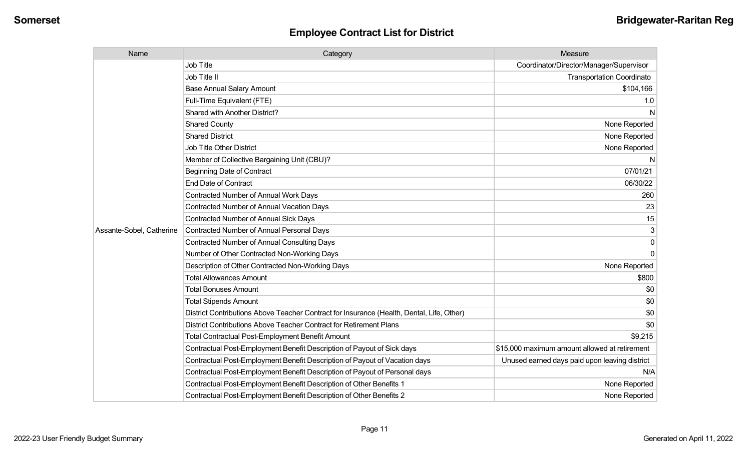| Name                     | Category                                                                                  | Measure                                       |
|--------------------------|-------------------------------------------------------------------------------------------|-----------------------------------------------|
|                          | <b>Job Title</b>                                                                          | Coordinator/Director/Manager/Supervisor       |
|                          | Job Title II                                                                              | <b>Transportation Coordinato</b>              |
|                          | <b>Base Annual Salary Amount</b>                                                          | \$104,166                                     |
|                          | Full-Time Equivalent (FTE)                                                                | 1.0                                           |
|                          | Shared with Another District?                                                             | N                                             |
|                          | <b>Shared County</b>                                                                      | None Reported                                 |
|                          | <b>Shared District</b>                                                                    | None Reported                                 |
|                          | <b>Job Title Other District</b>                                                           | None Reported                                 |
|                          | Member of Collective Bargaining Unit (CBU)?                                               | N                                             |
|                          | <b>Beginning Date of Contract</b>                                                         | 07/01/21                                      |
|                          | <b>End Date of Contract</b>                                                               | 06/30/22                                      |
|                          | Contracted Number of Annual Work Days                                                     | 260                                           |
|                          | Contracted Number of Annual Vacation Days                                                 | 23                                            |
|                          | Contracted Number of Annual Sick Days                                                     | 15                                            |
| Assante-Sobel, Catherine | Contracted Number of Annual Personal Days                                                 |                                               |
|                          | <b>Contracted Number of Annual Consulting Days</b>                                        | $\Omega$                                      |
|                          | Number of Other Contracted Non-Working Days                                               | $\Omega$                                      |
|                          | Description of Other Contracted Non-Working Days                                          | None Reported                                 |
|                          | <b>Total Allowances Amount</b>                                                            | \$800                                         |
|                          | <b>Total Bonuses Amount</b>                                                               | \$0                                           |
|                          | <b>Total Stipends Amount</b>                                                              | \$0                                           |
|                          | District Contributions Above Teacher Contract for Insurance (Health, Dental, Life, Other) | \$0                                           |
|                          | District Contributions Above Teacher Contract for Retirement Plans                        | \$0                                           |
|                          | <b>Total Contractual Post-Employment Benefit Amount</b>                                   | \$9,215                                       |
|                          | Contractual Post-Employment Benefit Description of Payout of Sick days                    | \$15,000 maximum amount allowed at retirement |
|                          | Contractual Post-Employment Benefit Description of Payout of Vacation days                | Unused earned days paid upon leaving district |
|                          | Contractual Post-Employment Benefit Description of Payout of Personal days                | N/A                                           |
|                          | Contractual Post-Employment Benefit Description of Other Benefits 1                       | None Reported                                 |
|                          | Contractual Post-Employment Benefit Description of Other Benefits 2                       | None Reported                                 |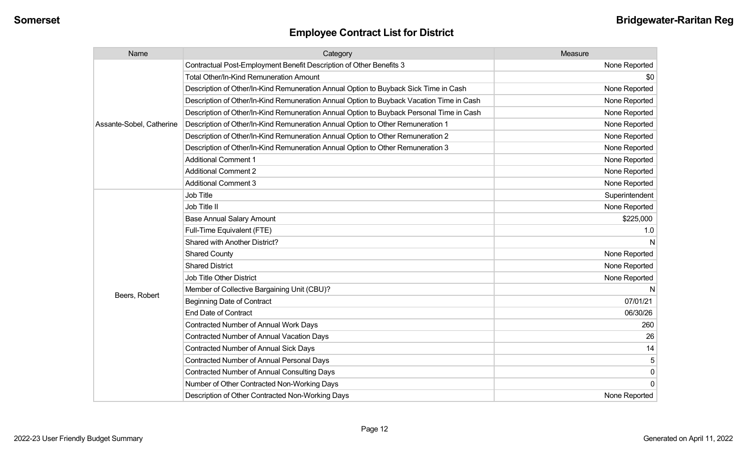| Name                     | Category                                                                                 | Measure        |
|--------------------------|------------------------------------------------------------------------------------------|----------------|
|                          | Contractual Post-Employment Benefit Description of Other Benefits 3                      | None Reported  |
|                          | Total Other/In-Kind Remuneration Amount                                                  | \$0            |
|                          | Description of Other/In-Kind Remuneration Annual Option to Buyback Sick Time in Cash     | None Reported  |
|                          | Description of Other/In-Kind Remuneration Annual Option to Buyback Vacation Time in Cash | None Reported  |
|                          | Description of Other/In-Kind Remuneration Annual Option to Buyback Personal Time in Cash | None Reported  |
| Assante-Sobel, Catherine | Description of Other/In-Kind Remuneration Annual Option to Other Remuneration 1          | None Reported  |
|                          | Description of Other/In-Kind Remuneration Annual Option to Other Remuneration 2          | None Reported  |
|                          | Description of Other/In-Kind Remuneration Annual Option to Other Remuneration 3          | None Reported  |
|                          | <b>Additional Comment 1</b>                                                              | None Reported  |
|                          | <b>Additional Comment 2</b>                                                              | None Reported  |
|                          | <b>Additional Comment 3</b>                                                              | None Reported  |
|                          | Job Title                                                                                | Superintendent |
|                          | Job Title II                                                                             | None Reported  |
|                          | <b>Base Annual Salary Amount</b>                                                         | \$225,000      |
|                          | Full-Time Equivalent (FTE)                                                               | 1.0            |
|                          | Shared with Another District?                                                            |                |
|                          | <b>Shared County</b>                                                                     | None Reported  |
|                          | <b>Shared District</b>                                                                   | None Reported  |
|                          | Job Title Other District                                                                 | None Reported  |
|                          | Member of Collective Bargaining Unit (CBU)?                                              |                |
| Beers, Robert            | <b>Beginning Date of Contract</b>                                                        | 07/01/21       |
|                          | <b>End Date of Contract</b>                                                              | 06/30/26       |
|                          | <b>Contracted Number of Annual Work Days</b>                                             | 260            |
|                          | <b>Contracted Number of Annual Vacation Days</b>                                         | 26             |
|                          | Contracted Number of Annual Sick Days                                                    | 14             |
|                          | <b>Contracted Number of Annual Personal Days</b>                                         | 5              |
|                          | <b>Contracted Number of Annual Consulting Days</b>                                       | 0              |
|                          | Number of Other Contracted Non-Working Days                                              | $\Omega$       |
|                          | Description of Other Contracted Non-Working Days                                         | None Reported  |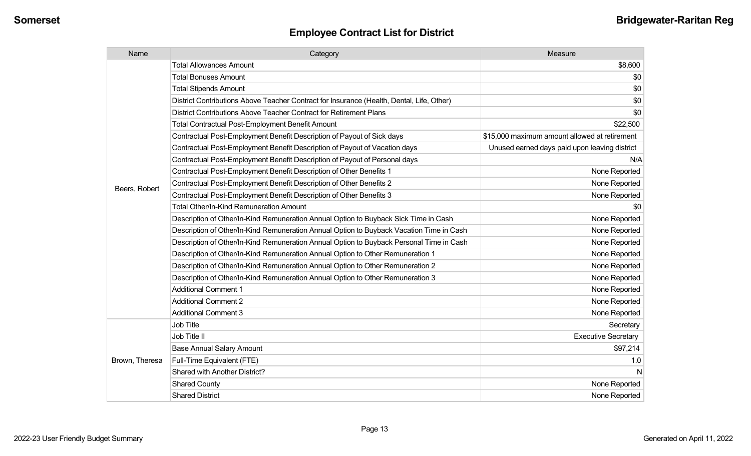| Name           | Category                                                                                  | Measure                                       |
|----------------|-------------------------------------------------------------------------------------------|-----------------------------------------------|
|                | <b>Total Allowances Amount</b>                                                            | \$8,600                                       |
|                | <b>Total Bonuses Amount</b>                                                               | \$0                                           |
|                | <b>Total Stipends Amount</b>                                                              | \$0                                           |
|                | District Contributions Above Teacher Contract for Insurance (Health, Dental, Life, Other) | \$0                                           |
|                | District Contributions Above Teacher Contract for Retirement Plans                        | \$0                                           |
|                | <b>Total Contractual Post-Employment Benefit Amount</b>                                   | \$22,500                                      |
|                | Contractual Post-Employment Benefit Description of Payout of Sick days                    | \$15,000 maximum amount allowed at retirement |
|                | Contractual Post-Employment Benefit Description of Payout of Vacation days                | Unused earned days paid upon leaving district |
|                | Contractual Post-Employment Benefit Description of Payout of Personal days                | N/A                                           |
|                | Contractual Post-Employment Benefit Description of Other Benefits 1                       | None Reported                                 |
|                | Contractual Post-Employment Benefit Description of Other Benefits 2                       | None Reported                                 |
| Beers, Robert  | Contractual Post-Employment Benefit Description of Other Benefits 3                       | None Reported                                 |
|                | <b>Total Other/In-Kind Remuneration Amount</b>                                            | \$0                                           |
|                | Description of Other/In-Kind Remuneration Annual Option to Buyback Sick Time in Cash      | None Reported                                 |
|                | Description of Other/In-Kind Remuneration Annual Option to Buyback Vacation Time in Cash  | None Reported                                 |
|                | Description of Other/In-Kind Remuneration Annual Option to Buyback Personal Time in Cash  | None Reported                                 |
|                | Description of Other/In-Kind Remuneration Annual Option to Other Remuneration 1           | None Reported                                 |
|                | Description of Other/In-Kind Remuneration Annual Option to Other Remuneration 2           | None Reported                                 |
|                | Description of Other/In-Kind Remuneration Annual Option to Other Remuneration 3           | None Reported                                 |
|                | <b>Additional Comment 1</b>                                                               | None Reported                                 |
|                | <b>Additional Comment 2</b>                                                               | None Reported                                 |
|                | <b>Additional Comment 3</b>                                                               | None Reported                                 |
|                | <b>Job Title</b>                                                                          | Secretary                                     |
| Brown, Theresa | Job Title II                                                                              | <b>Executive Secretary</b>                    |
|                | <b>Base Annual Salary Amount</b>                                                          | \$97,214                                      |
|                | Full-Time Equivalent (FTE)                                                                | 1.0                                           |
|                | Shared with Another District?                                                             | N                                             |
|                | <b>Shared County</b>                                                                      | None Reported                                 |
|                | <b>Shared District</b>                                                                    | None Reported                                 |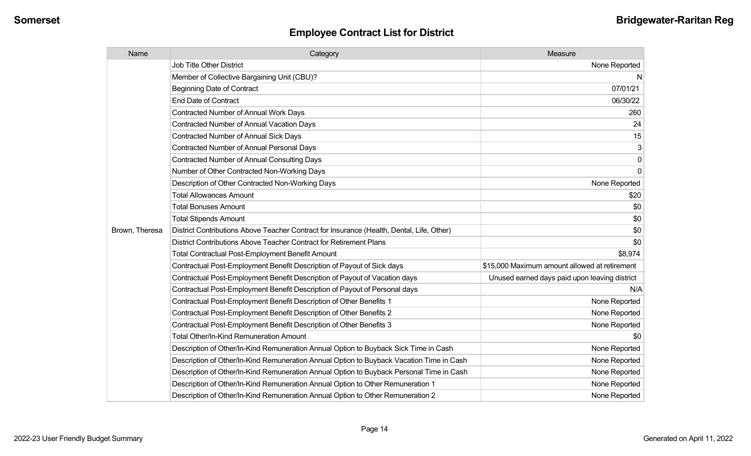| Name           | Category                                                                                  | Measure                                       |
|----------------|-------------------------------------------------------------------------------------------|-----------------------------------------------|
|                | <b>Job Title Other District</b>                                                           | None Reported                                 |
|                | Member of Collective Bargaining Unit (CBU)?                                               | N                                             |
|                | <b>Beginning Date of Contract</b>                                                         | 07/01/21                                      |
|                | <b>End Date of Contract</b>                                                               | 06/30/22                                      |
|                | <b>Contracted Number of Annual Work Days</b>                                              | 260                                           |
|                | <b>Contracted Number of Annual Vacation Days</b>                                          | 24                                            |
|                | <b>Contracted Number of Annual Sick Days</b>                                              | 15                                            |
|                | <b>Contracted Number of Annual Personal Days</b>                                          | 3                                             |
|                | <b>Contracted Number of Annual Consulting Days</b>                                        | 0                                             |
|                | Number of Other Contracted Non-Working Days                                               | $\mathbf 0$                                   |
|                | Description of Other Contracted Non-Working Days                                          | None Reported                                 |
|                | <b>Total Allowances Amount</b>                                                            | \$20                                          |
|                | <b>Total Bonuses Amount</b>                                                               | \$0                                           |
|                | <b>Total Stipends Amount</b>                                                              | \$0                                           |
| Brown, Theresa | District Contributions Above Teacher Contract for Insurance (Health, Dental, Life, Other) | \$0                                           |
|                | District Contributions Above Teacher Contract for Retirement Plans                        | \$0                                           |
|                | <b>Total Contractual Post-Employment Benefit Amount</b>                                   | \$8,974                                       |
|                | Contractual Post-Employment Benefit Description of Payout of Sick days                    | \$15,000 Maximum amount allowed at retirement |
|                | Contractual Post-Employment Benefit Description of Payout of Vacation days                | Unused earned days paid upon leaving district |
|                | Contractual Post-Employment Benefit Description of Payout of Personal days                | N/A                                           |
|                | Contractual Post-Employment Benefit Description of Other Benefits 1                       | None Reported                                 |
|                | Contractual Post-Employment Benefit Description of Other Benefits 2                       | None Reported                                 |
|                | Contractual Post-Employment Benefit Description of Other Benefits 3                       | None Reported                                 |
|                | <b>Total Other/In-Kind Remuneration Amount</b>                                            | \$0                                           |
|                | Description of Other/In-Kind Remuneration Annual Option to Buyback Sick Time in Cash      | None Reported                                 |
|                | Description of Other/In-Kind Remuneration Annual Option to Buyback Vacation Time in Cash  | None Reported                                 |
|                | Description of Other/In-Kind Remuneration Annual Option to Buyback Personal Time in Cash  | None Reported                                 |
|                | Description of Other/In-Kind Remuneration Annual Option to Other Remuneration 1           | None Reported                                 |
|                | Description of Other/In-Kind Remuneration Annual Option to Other Remuneration 2           | None Reported                                 |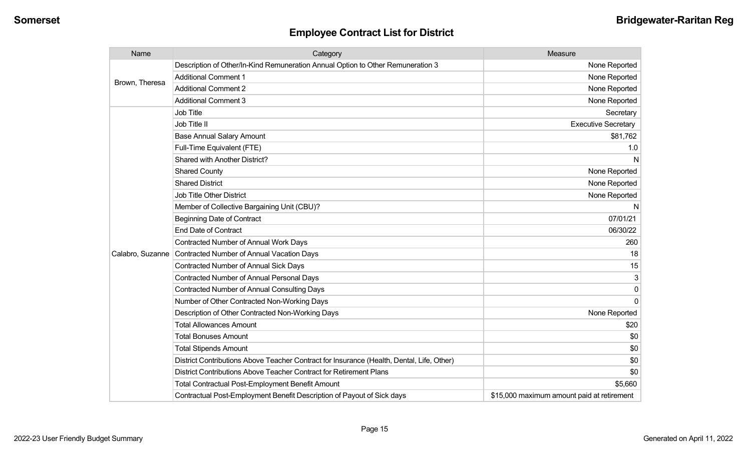| Name             | Category                                                                                  | Measure                                    |
|------------------|-------------------------------------------------------------------------------------------|--------------------------------------------|
| Brown, Theresa   | Description of Other/In-Kind Remuneration Annual Option to Other Remuneration 3           | None Reported                              |
|                  | <b>Additional Comment 1</b>                                                               | None Reported                              |
|                  | <b>Additional Comment 2</b>                                                               | None Reported                              |
|                  | <b>Additional Comment 3</b>                                                               | None Reported                              |
|                  | Job Title                                                                                 | Secretary                                  |
|                  | Job Title II                                                                              | <b>Executive Secretary</b>                 |
|                  | <b>Base Annual Salary Amount</b>                                                          | \$81,762                                   |
|                  | Full-Time Equivalent (FTE)                                                                | 1.0                                        |
|                  | Shared with Another District?                                                             | N                                          |
|                  | <b>Shared County</b>                                                                      | None Reported                              |
|                  | <b>Shared District</b>                                                                    | None Reported                              |
|                  | <b>Job Title Other District</b>                                                           | None Reported                              |
|                  | Member of Collective Bargaining Unit (CBU)?                                               | N                                          |
|                  | <b>Beginning Date of Contract</b>                                                         | 07/01/21                                   |
|                  | <b>End Date of Contract</b>                                                               | 06/30/22                                   |
|                  | <b>Contracted Number of Annual Work Days</b>                                              | 260                                        |
| Calabro, Suzanne | Contracted Number of Annual Vacation Days                                                 | 18                                         |
|                  | Contracted Number of Annual Sick Days                                                     | 15                                         |
|                  | <b>Contracted Number of Annual Personal Days</b>                                          | 3                                          |
|                  | <b>Contracted Number of Annual Consulting Days</b>                                        | 0                                          |
|                  | Number of Other Contracted Non-Working Days                                               | $\mathbf 0$                                |
|                  | Description of Other Contracted Non-Working Days                                          | None Reported                              |
|                  | <b>Total Allowances Amount</b>                                                            | \$20                                       |
|                  | <b>Total Bonuses Amount</b>                                                               | \$0                                        |
|                  | <b>Total Stipends Amount</b>                                                              | \$0                                        |
|                  | District Contributions Above Teacher Contract for Insurance (Health, Dental, Life, Other) | \$0                                        |
|                  | District Contributions Above Teacher Contract for Retirement Plans                        | \$0                                        |
|                  | <b>Total Contractual Post-Employment Benefit Amount</b>                                   | \$5,660                                    |
|                  | Contractual Post-Employment Benefit Description of Payout of Sick days                    | \$15,000 maximum amount paid at retirement |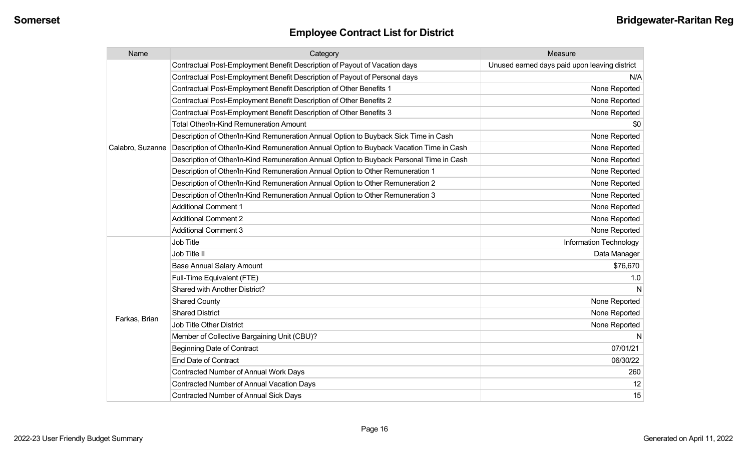| Name             | Category                                                                                 | Measure                                       |
|------------------|------------------------------------------------------------------------------------------|-----------------------------------------------|
|                  | Contractual Post-Employment Benefit Description of Payout of Vacation days               | Unused earned days paid upon leaving district |
|                  | Contractual Post-Employment Benefit Description of Payout of Personal days               | N/A                                           |
|                  | Contractual Post-Employment Benefit Description of Other Benefits 1                      | None Reported                                 |
|                  | Contractual Post-Employment Benefit Description of Other Benefits 2                      | None Reported                                 |
|                  | Contractual Post-Employment Benefit Description of Other Benefits 3                      | None Reported                                 |
|                  | Total Other/In-Kind Remuneration Amount                                                  | \$0                                           |
|                  | Description of Other/In-Kind Remuneration Annual Option to Buyback Sick Time in Cash     | None Reported                                 |
| Calabro, Suzanne | Description of Other/In-Kind Remuneration Annual Option to Buyback Vacation Time in Cash | None Reported                                 |
|                  | Description of Other/In-Kind Remuneration Annual Option to Buyback Personal Time in Cash | None Reported                                 |
|                  | Description of Other/In-Kind Remuneration Annual Option to Other Remuneration 1          | None Reported                                 |
|                  | Description of Other/In-Kind Remuneration Annual Option to Other Remuneration 2          | None Reported                                 |
|                  | Description of Other/In-Kind Remuneration Annual Option to Other Remuneration 3          | None Reported                                 |
|                  | <b>Additional Comment 1</b>                                                              | None Reported                                 |
|                  | <b>Additional Comment 2</b>                                                              | None Reported                                 |
|                  | <b>Additional Comment 3</b>                                                              | None Reported                                 |
|                  | Job Title                                                                                | Information Technology                        |
|                  | Job Title II                                                                             | Data Manager                                  |
|                  | <b>Base Annual Salary Amount</b>                                                         | \$76,670                                      |
|                  | Full-Time Equivalent (FTE)                                                               | 1.0                                           |
|                  | <b>Shared with Another District?</b>                                                     |                                               |
|                  | <b>Shared County</b>                                                                     | None Reported                                 |
|                  | <b>Shared District</b>                                                                   | None Reported                                 |
| Farkas, Brian    | <b>Job Title Other District</b>                                                          | None Reported                                 |
|                  | Member of Collective Bargaining Unit (CBU)?                                              | N                                             |
|                  | <b>Beginning Date of Contract</b>                                                        | 07/01/21                                      |
|                  | <b>End Date of Contract</b>                                                              | 06/30/22                                      |
|                  | <b>Contracted Number of Annual Work Days</b>                                             | 260                                           |
|                  | <b>Contracted Number of Annual Vacation Days</b>                                         | 12                                            |
|                  | Contracted Number of Annual Sick Days                                                    | 15                                            |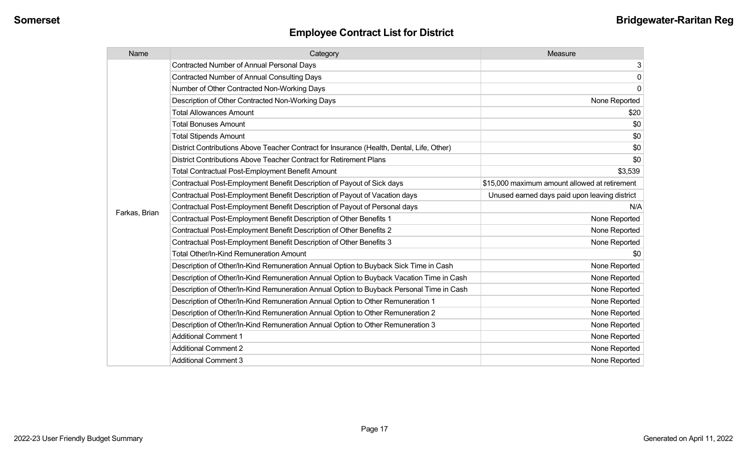| Name          | Category                                                                                  | Measure                                       |
|---------------|-------------------------------------------------------------------------------------------|-----------------------------------------------|
|               | <b>Contracted Number of Annual Personal Days</b>                                          | 3 <sup>1</sup>                                |
|               | <b>Contracted Number of Annual Consulting Days</b>                                        | $\overline{0}$                                |
|               | Number of Other Contracted Non-Working Days                                               | $\overline{0}$                                |
|               | Description of Other Contracted Non-Working Days                                          | None Reported                                 |
|               | <b>Total Allowances Amount</b>                                                            | \$20                                          |
|               | <b>Total Bonuses Amount</b>                                                               | \$0                                           |
|               | <b>Total Stipends Amount</b>                                                              | \$0                                           |
|               | District Contributions Above Teacher Contract for Insurance (Health, Dental, Life, Other) | \$0                                           |
|               | District Contributions Above Teacher Contract for Retirement Plans                        | \$0                                           |
|               | <b>Total Contractual Post-Employment Benefit Amount</b>                                   | \$3,539                                       |
|               | Contractual Post-Employment Benefit Description of Payout of Sick days                    | \$15,000 maximum amount allowed at retirement |
|               | Contractual Post-Employment Benefit Description of Payout of Vacation days                | Unused earned days paid upon leaving district |
|               | Contractual Post-Employment Benefit Description of Payout of Personal days                | N/A                                           |
| Farkas, Brian | Contractual Post-Employment Benefit Description of Other Benefits 1                       | None Reported                                 |
|               | Contractual Post-Employment Benefit Description of Other Benefits 2                       | None Reported                                 |
|               | Contractual Post-Employment Benefit Description of Other Benefits 3                       | None Reported                                 |
|               | <b>Total Other/In-Kind Remuneration Amount</b>                                            | \$0                                           |
|               | Description of Other/In-Kind Remuneration Annual Option to Buyback Sick Time in Cash      | None Reported                                 |
|               | Description of Other/In-Kind Remuneration Annual Option to Buyback Vacation Time in Cash  | None Reported                                 |
|               | Description of Other/In-Kind Remuneration Annual Option to Buyback Personal Time in Cash  | None Reported                                 |
|               | Description of Other/In-Kind Remuneration Annual Option to Other Remuneration 1           | None Reported                                 |
|               | Description of Other/In-Kind Remuneration Annual Option to Other Remuneration 2           | None Reported                                 |
|               | Description of Other/In-Kind Remuneration Annual Option to Other Remuneration 3           | None Reported                                 |
|               | <b>Additional Comment 1</b>                                                               | None Reported                                 |
|               | <b>Additional Comment 2</b>                                                               | None Reported                                 |
|               | <b>Additional Comment 3</b>                                                               | None Reported                                 |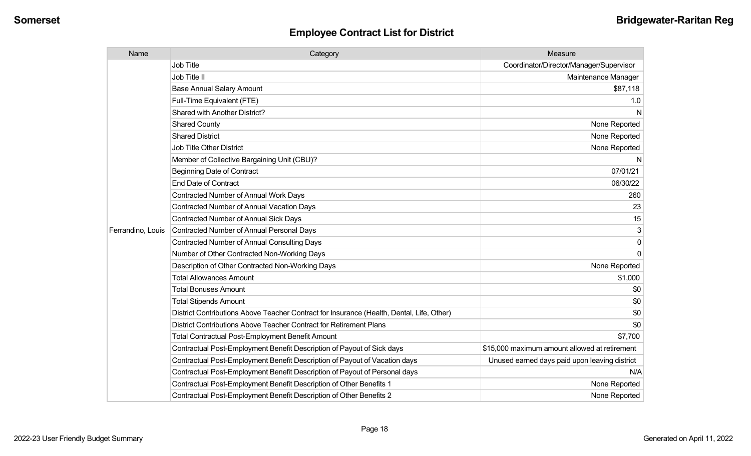| Name              | Category                                                                                  | Measure                                       |
|-------------------|-------------------------------------------------------------------------------------------|-----------------------------------------------|
|                   | <b>Job Title</b>                                                                          | Coordinator/Director/Manager/Supervisor       |
|                   | Job Title II                                                                              | Maintenance Manager                           |
|                   | <b>Base Annual Salary Amount</b>                                                          | \$87,118                                      |
|                   | Full-Time Equivalent (FTE)                                                                | 1.0                                           |
|                   | <b>Shared with Another District?</b>                                                      | N                                             |
|                   | <b>Shared County</b>                                                                      | None Reported                                 |
|                   | <b>Shared District</b>                                                                    | None Reported                                 |
|                   | <b>Job Title Other District</b>                                                           | None Reported                                 |
|                   | Member of Collective Bargaining Unit (CBU)?                                               | N                                             |
|                   | <b>Beginning Date of Contract</b>                                                         | 07/01/21                                      |
|                   | <b>End Date of Contract</b>                                                               | 06/30/22                                      |
|                   | Contracted Number of Annual Work Days                                                     | 260                                           |
|                   | Contracted Number of Annual Vacation Days                                                 | 23                                            |
|                   | Contracted Number of Annual Sick Days                                                     | 15                                            |
| Ferrandino, Louis | Contracted Number of Annual Personal Days                                                 | 3                                             |
|                   | <b>Contracted Number of Annual Consulting Days</b>                                        | $\Omega$                                      |
|                   | Number of Other Contracted Non-Working Days                                               | $\Omega$                                      |
|                   | Description of Other Contracted Non-Working Days                                          | None Reported                                 |
|                   | <b>Total Allowances Amount</b>                                                            | \$1,000                                       |
|                   | <b>Total Bonuses Amount</b>                                                               | \$0                                           |
|                   | <b>Total Stipends Amount</b>                                                              | \$0                                           |
|                   | District Contributions Above Teacher Contract for Insurance (Health, Dental, Life, Other) | \$0                                           |
|                   | District Contributions Above Teacher Contract for Retirement Plans                        | \$0                                           |
|                   | <b>Total Contractual Post-Employment Benefit Amount</b>                                   | \$7,700                                       |
|                   | Contractual Post-Employment Benefit Description of Payout of Sick days                    | \$15,000 maximum amount allowed at retirement |
|                   | Contractual Post-Employment Benefit Description of Payout of Vacation days                | Unused earned days paid upon leaving district |
|                   | Contractual Post-Employment Benefit Description of Payout of Personal days                | N/A                                           |
|                   | Contractual Post-Employment Benefit Description of Other Benefits 1                       | None Reported                                 |
|                   | Contractual Post-Employment Benefit Description of Other Benefits 2                       | None Reported                                 |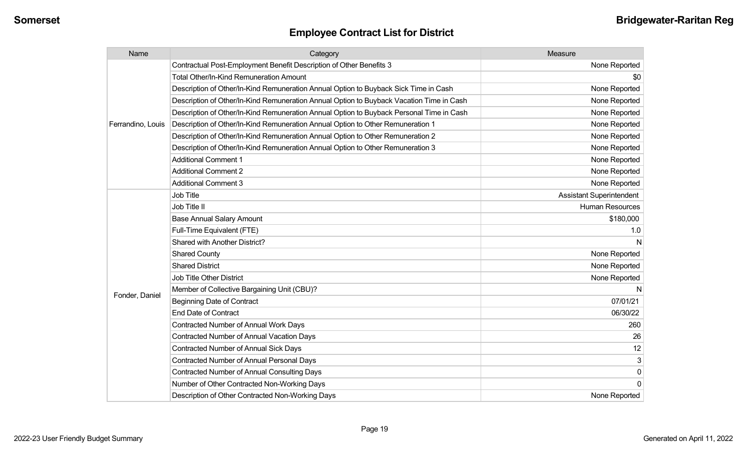| Name              | Category                                                                                 | Measure                         |
|-------------------|------------------------------------------------------------------------------------------|---------------------------------|
|                   | Contractual Post-Employment Benefit Description of Other Benefits 3                      | None Reported                   |
|                   | Total Other/In-Kind Remuneration Amount                                                  | \$0                             |
|                   | Description of Other/In-Kind Remuneration Annual Option to Buyback Sick Time in Cash     | None Reported                   |
|                   | Description of Other/In-Kind Remuneration Annual Option to Buyback Vacation Time in Cash | None Reported                   |
|                   | Description of Other/In-Kind Remuneration Annual Option to Buyback Personal Time in Cash | None Reported                   |
| Ferrandino, Louis | Description of Other/In-Kind Remuneration Annual Option to Other Remuneration 1          | None Reported                   |
|                   | Description of Other/In-Kind Remuneration Annual Option to Other Remuneration 2          | None Reported                   |
|                   | Description of Other/In-Kind Remuneration Annual Option to Other Remuneration 3          | None Reported                   |
|                   | <b>Additional Comment 1</b>                                                              | None Reported                   |
|                   | <b>Additional Comment 2</b>                                                              | None Reported                   |
|                   | <b>Additional Comment 3</b>                                                              | None Reported                   |
|                   | Job Title                                                                                | <b>Assistant Superintendent</b> |
|                   | Job Title II                                                                             | <b>Human Resources</b>          |
|                   | <b>Base Annual Salary Amount</b>                                                         | \$180,000                       |
|                   | Full-Time Equivalent (FTE)                                                               | 1.0                             |
|                   | Shared with Another District?                                                            |                                 |
|                   | <b>Shared County</b>                                                                     | None Reported                   |
|                   | <b>Shared District</b>                                                                   | None Reported                   |
|                   | <b>Job Title Other District</b>                                                          | None Reported                   |
|                   | Member of Collective Bargaining Unit (CBU)?                                              |                                 |
| Fonder, Daniel    | <b>Beginning Date of Contract</b>                                                        | 07/01/21                        |
|                   | <b>End Date of Contract</b>                                                              | 06/30/22                        |
|                   | <b>Contracted Number of Annual Work Days</b>                                             | 260                             |
|                   | <b>Contracted Number of Annual Vacation Days</b>                                         | 26                              |
|                   | <b>Contracted Number of Annual Sick Days</b>                                             | 12                              |
|                   | <b>Contracted Number of Annual Personal Days</b>                                         | 3                               |
|                   | <b>Contracted Number of Annual Consulting Days</b>                                       | $\pmb{0}$                       |
|                   | Number of Other Contracted Non-Working Days                                              | $\Omega$                        |
|                   | Description of Other Contracted Non-Working Days                                         | None Reported                   |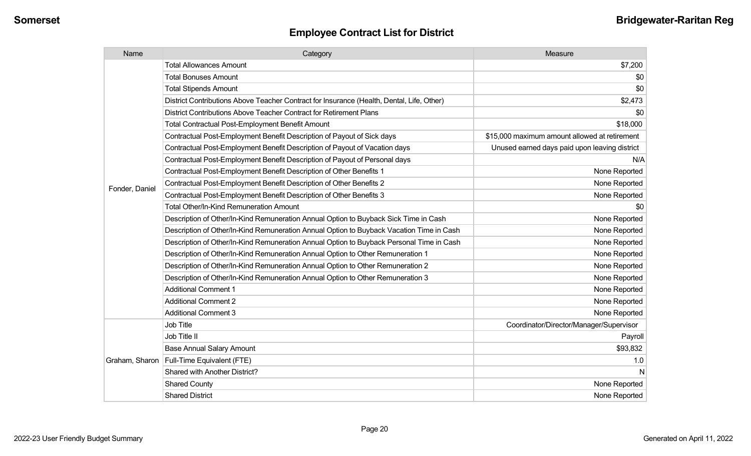| Name           | Category                                                                                  | Measure                                       |
|----------------|-------------------------------------------------------------------------------------------|-----------------------------------------------|
|                | <b>Total Allowances Amount</b>                                                            | \$7,200                                       |
|                | <b>Total Bonuses Amount</b>                                                               | \$0                                           |
|                | <b>Total Stipends Amount</b>                                                              | \$0                                           |
|                | District Contributions Above Teacher Contract for Insurance (Health, Dental, Life, Other) | \$2,473                                       |
|                | District Contributions Above Teacher Contract for Retirement Plans                        | \$0                                           |
|                | <b>Total Contractual Post-Employment Benefit Amount</b>                                   | \$18,000                                      |
|                | Contractual Post-Employment Benefit Description of Payout of Sick days                    | \$15,000 maximum amount allowed at retirement |
|                | Contractual Post-Employment Benefit Description of Payout of Vacation days                | Unused earned days paid upon leaving district |
|                | Contractual Post-Employment Benefit Description of Payout of Personal days                | N/A                                           |
|                | Contractual Post-Employment Benefit Description of Other Benefits 1                       | None Reported                                 |
|                | Contractual Post-Employment Benefit Description of Other Benefits 2                       | None Reported                                 |
| Fonder, Daniel | Contractual Post-Employment Benefit Description of Other Benefits 3                       | None Reported                                 |
|                | <b>Total Other/In-Kind Remuneration Amount</b>                                            | \$0                                           |
|                | Description of Other/In-Kind Remuneration Annual Option to Buyback Sick Time in Cash      | None Reported                                 |
|                | Description of Other/In-Kind Remuneration Annual Option to Buyback Vacation Time in Cash  | None Reported                                 |
|                | Description of Other/In-Kind Remuneration Annual Option to Buyback Personal Time in Cash  | None Reported                                 |
|                | Description of Other/In-Kind Remuneration Annual Option to Other Remuneration 1           | None Reported                                 |
|                | Description of Other/In-Kind Remuneration Annual Option to Other Remuneration 2           | None Reported                                 |
|                | Description of Other/In-Kind Remuneration Annual Option to Other Remuneration 3           | None Reported                                 |
|                | <b>Additional Comment 1</b>                                                               | None Reported                                 |
|                | <b>Additional Comment 2</b>                                                               | None Reported                                 |
|                | <b>Additional Comment 3</b>                                                               | None Reported                                 |
|                | <b>Job Title</b>                                                                          | Coordinator/Director/Manager/Supervisor       |
| Graham, Sharon | Job Title II                                                                              | Payroll                                       |
|                | <b>Base Annual Salary Amount</b>                                                          | \$93,832                                      |
|                | Full-Time Equivalent (FTE)                                                                | 1.0                                           |
|                | Shared with Another District?                                                             | N                                             |
|                | <b>Shared County</b>                                                                      | None Reported                                 |
|                | <b>Shared District</b>                                                                    | None Reported                                 |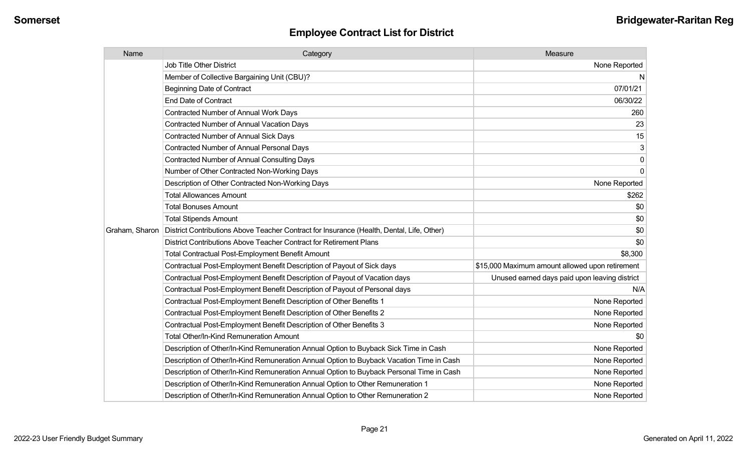| Name           | Category                                                                                  | Measure                                         |
|----------------|-------------------------------------------------------------------------------------------|-------------------------------------------------|
|                | Job Title Other District                                                                  | None Reported                                   |
|                | Member of Collective Bargaining Unit (CBU)?                                               | N                                               |
|                | <b>Beginning Date of Contract</b>                                                         | 07/01/21                                        |
|                | <b>End Date of Contract</b>                                                               | 06/30/22                                        |
|                | Contracted Number of Annual Work Days                                                     | 260                                             |
|                | <b>Contracted Number of Annual Vacation Days</b>                                          | 23                                              |
|                | <b>Contracted Number of Annual Sick Days</b>                                              | 15                                              |
|                | <b>Contracted Number of Annual Personal Days</b>                                          | 3                                               |
|                | <b>Contracted Number of Annual Consulting Days</b>                                        | 0                                               |
|                | Number of Other Contracted Non-Working Days                                               | $\mathbf 0$                                     |
|                | Description of Other Contracted Non-Working Days                                          | None Reported                                   |
|                | <b>Total Allowances Amount</b>                                                            | \$262                                           |
|                | <b>Total Bonuses Amount</b>                                                               | \$0                                             |
|                | <b>Total Stipends Amount</b>                                                              | \$0                                             |
| Graham, Sharon | District Contributions Above Teacher Contract for Insurance (Health, Dental, Life, Other) | \$0                                             |
|                | District Contributions Above Teacher Contract for Retirement Plans                        | \$0                                             |
|                | <b>Total Contractual Post-Employment Benefit Amount</b>                                   | \$8,300                                         |
|                | Contractual Post-Employment Benefit Description of Payout of Sick days                    | \$15,000 Maximum amount allowed upon retirement |
|                | Contractual Post-Employment Benefit Description of Payout of Vacation days                | Unused earned days paid upon leaving district   |
|                | Contractual Post-Employment Benefit Description of Payout of Personal days                | N/A                                             |
|                | Contractual Post-Employment Benefit Description of Other Benefits 1                       | None Reported                                   |
|                | Contractual Post-Employment Benefit Description of Other Benefits 2                       | None Reported                                   |
|                | Contractual Post-Employment Benefit Description of Other Benefits 3                       | None Reported                                   |
|                | <b>Total Other/In-Kind Remuneration Amount</b>                                            | \$0                                             |
|                | Description of Other/In-Kind Remuneration Annual Option to Buyback Sick Time in Cash      | None Reported                                   |
|                | Description of Other/In-Kind Remuneration Annual Option to Buyback Vacation Time in Cash  | None Reported                                   |
|                | Description of Other/In-Kind Remuneration Annual Option to Buyback Personal Time in Cash  | None Reported                                   |
|                | Description of Other/In-Kind Remuneration Annual Option to Other Remuneration 1           | None Reported                                   |
|                | Description of Other/In-Kind Remuneration Annual Option to Other Remuneration 2           | None Reported                                   |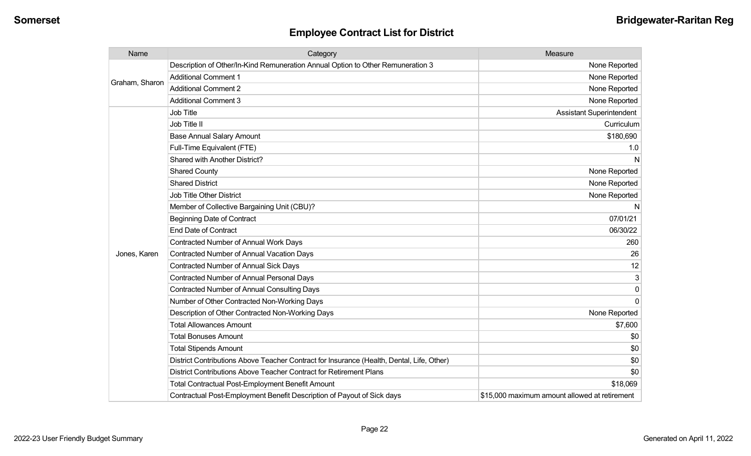| Name           | Category                                                                                  | Measure                                       |
|----------------|-------------------------------------------------------------------------------------------|-----------------------------------------------|
| Graham, Sharon | Description of Other/In-Kind Remuneration Annual Option to Other Remuneration 3           | None Reported                                 |
|                | <b>Additional Comment 1</b>                                                               | None Reported                                 |
|                | <b>Additional Comment 2</b>                                                               | None Reported                                 |
|                | <b>Additional Comment 3</b>                                                               | None Reported                                 |
|                | Job Title                                                                                 | <b>Assistant Superintendent</b>               |
|                | Job Title II                                                                              | Curriculum                                    |
|                | <b>Base Annual Salary Amount</b>                                                          | \$180,690                                     |
|                | Full-Time Equivalent (FTE)                                                                | 1.0                                           |
|                | Shared with Another District?                                                             | N                                             |
|                | <b>Shared County</b>                                                                      | None Reported                                 |
|                | <b>Shared District</b>                                                                    | None Reported                                 |
|                | <b>Job Title Other District</b>                                                           | None Reported                                 |
|                | Member of Collective Bargaining Unit (CBU)?                                               | N                                             |
|                | <b>Beginning Date of Contract</b>                                                         | 07/01/21                                      |
|                | <b>End Date of Contract</b>                                                               | 06/30/22                                      |
|                | <b>Contracted Number of Annual Work Days</b>                                              | 260                                           |
| Jones, Karen   | <b>Contracted Number of Annual Vacation Days</b>                                          | 26                                            |
|                | <b>Contracted Number of Annual Sick Days</b>                                              | 12                                            |
|                | Contracted Number of Annual Personal Days                                                 | 3                                             |
|                | <b>Contracted Number of Annual Consulting Days</b>                                        | 0                                             |
|                | Number of Other Contracted Non-Working Days                                               | 0                                             |
|                | Description of Other Contracted Non-Working Days                                          | None Reported                                 |
|                | <b>Total Allowances Amount</b>                                                            | \$7,600                                       |
|                | <b>Total Bonuses Amount</b>                                                               | \$0                                           |
|                | <b>Total Stipends Amount</b>                                                              | \$0                                           |
|                | District Contributions Above Teacher Contract for Insurance (Health, Dental, Life, Other) | \$0                                           |
|                | District Contributions Above Teacher Contract for Retirement Plans                        | \$0                                           |
|                | <b>Total Contractual Post-Employment Benefit Amount</b>                                   | \$18,069                                      |
|                | Contractual Post-Employment Benefit Description of Payout of Sick days                    | \$15,000 maximum amount allowed at retirement |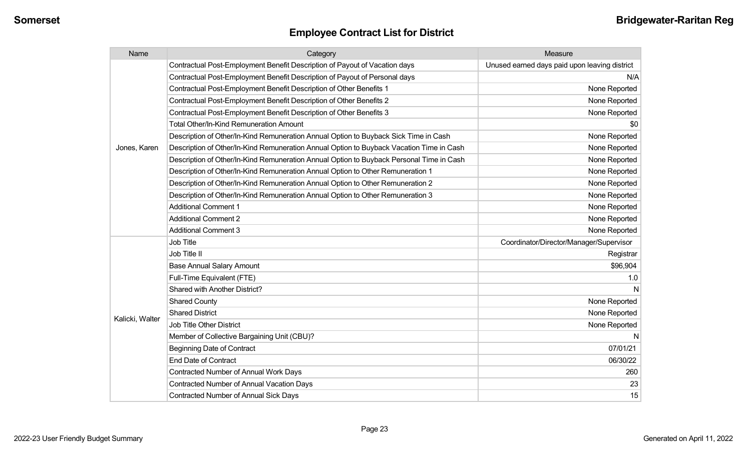| Name            | Category                                                                                 | Measure                                       |
|-----------------|------------------------------------------------------------------------------------------|-----------------------------------------------|
|                 | Contractual Post-Employment Benefit Description of Payout of Vacation days               | Unused earned days paid upon leaving district |
|                 | Contractual Post-Employment Benefit Description of Payout of Personal days               | N/A                                           |
|                 | Contractual Post-Employment Benefit Description of Other Benefits 1                      | None Reported                                 |
|                 | Contractual Post-Employment Benefit Description of Other Benefits 2                      | None Reported                                 |
|                 | Contractual Post-Employment Benefit Description of Other Benefits 3                      | None Reported                                 |
|                 | <b>Total Other/In-Kind Remuneration Amount</b>                                           | \$0                                           |
|                 | Description of Other/In-Kind Remuneration Annual Option to Buyback Sick Time in Cash     | None Reported                                 |
| Jones, Karen    | Description of Other/In-Kind Remuneration Annual Option to Buyback Vacation Time in Cash | None Reported                                 |
|                 | Description of Other/In-Kind Remuneration Annual Option to Buyback Personal Time in Cash | None Reported                                 |
|                 | Description of Other/In-Kind Remuneration Annual Option to Other Remuneration 1          | None Reported                                 |
|                 | Description of Other/In-Kind Remuneration Annual Option to Other Remuneration 2          | None Reported                                 |
|                 | Description of Other/In-Kind Remuneration Annual Option to Other Remuneration 3          | None Reported                                 |
|                 | <b>Additional Comment 1</b>                                                              | None Reported                                 |
|                 | <b>Additional Comment 2</b>                                                              | None Reported                                 |
|                 | <b>Additional Comment 3</b>                                                              | None Reported                                 |
|                 | <b>Job Title</b>                                                                         | Coordinator/Director/Manager/Supervisor       |
|                 | Job Title II                                                                             | Registrar                                     |
|                 | <b>Base Annual Salary Amount</b>                                                         | \$96,904                                      |
|                 | Full-Time Equivalent (FTE)                                                               | 1.0                                           |
|                 | Shared with Another District?                                                            | N                                             |
|                 | <b>Shared County</b>                                                                     | None Reported                                 |
|                 | <b>Shared District</b>                                                                   | None Reported                                 |
| Kalicki, Walter | <b>Job Title Other District</b>                                                          | None Reported                                 |
|                 | Member of Collective Bargaining Unit (CBU)?                                              | N                                             |
|                 | <b>Beginning Date of Contract</b>                                                        | 07/01/21                                      |
|                 | <b>End Date of Contract</b>                                                              | 06/30/22                                      |
|                 | Contracted Number of Annual Work Days                                                    | 260                                           |
|                 | <b>Contracted Number of Annual Vacation Days</b>                                         | 23                                            |
|                 | Contracted Number of Annual Sick Days                                                    | 15                                            |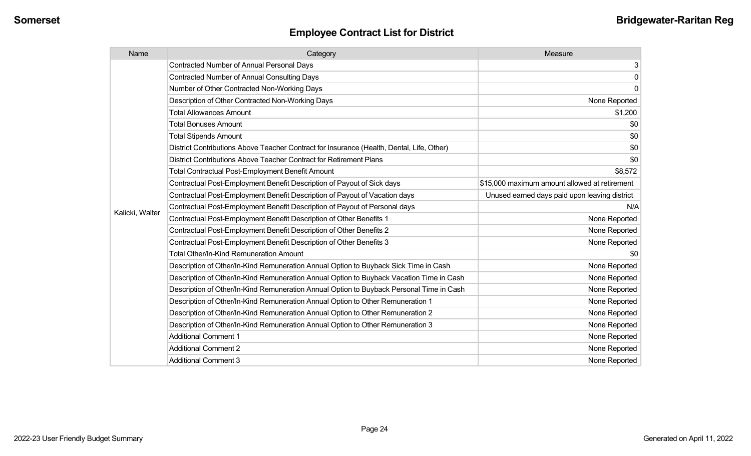| Name            | Category                                                                                  | Measure                                       |
|-----------------|-------------------------------------------------------------------------------------------|-----------------------------------------------|
|                 | <b>Contracted Number of Annual Personal Days</b>                                          | 3                                             |
|                 | <b>Contracted Number of Annual Consulting Days</b>                                        | $\mathsf{O}\xspace$                           |
|                 | Number of Other Contracted Non-Working Days                                               | $\mathbf 0$                                   |
|                 | Description of Other Contracted Non-Working Days                                          | None Reported                                 |
|                 | <b>Total Allowances Amount</b>                                                            | \$1,200                                       |
|                 | <b>Total Bonuses Amount</b>                                                               | \$0                                           |
|                 | <b>Total Stipends Amount</b>                                                              | \$0                                           |
|                 | District Contributions Above Teacher Contract for Insurance (Health, Dental, Life, Other) | \$0                                           |
|                 | District Contributions Above Teacher Contract for Retirement Plans                        | \$0                                           |
|                 | <b>Total Contractual Post-Employment Benefit Amount</b>                                   | \$8,572                                       |
|                 | Contractual Post-Employment Benefit Description of Payout of Sick days                    | \$15,000 maximum amount allowed at retirement |
|                 | Contractual Post-Employment Benefit Description of Payout of Vacation days                | Unused earned days paid upon leaving district |
|                 | Contractual Post-Employment Benefit Description of Payout of Personal days                | N/A                                           |
| Kalicki, Walter | Contractual Post-Employment Benefit Description of Other Benefits 1                       | None Reported                                 |
|                 | Contractual Post-Employment Benefit Description of Other Benefits 2                       | None Reported                                 |
|                 | Contractual Post-Employment Benefit Description of Other Benefits 3                       | None Reported                                 |
|                 | Total Other/In-Kind Remuneration Amount                                                   | \$0                                           |
|                 | Description of Other/In-Kind Remuneration Annual Option to Buyback Sick Time in Cash      | None Reported                                 |
|                 | Description of Other/In-Kind Remuneration Annual Option to Buyback Vacation Time in Cash  | None Reported                                 |
|                 | Description of Other/In-Kind Remuneration Annual Option to Buyback Personal Time in Cash  | None Reported                                 |
|                 | Description of Other/In-Kind Remuneration Annual Option to Other Remuneration 1           | None Reported                                 |
|                 | Description of Other/In-Kind Remuneration Annual Option to Other Remuneration 2           | None Reported                                 |
|                 | Description of Other/In-Kind Remuneration Annual Option to Other Remuneration 3           | None Reported                                 |
|                 | <b>Additional Comment 1</b>                                                               | None Reported                                 |
|                 | <b>Additional Comment 2</b>                                                               | None Reported                                 |
|                 | <b>Additional Comment 3</b>                                                               | None Reported                                 |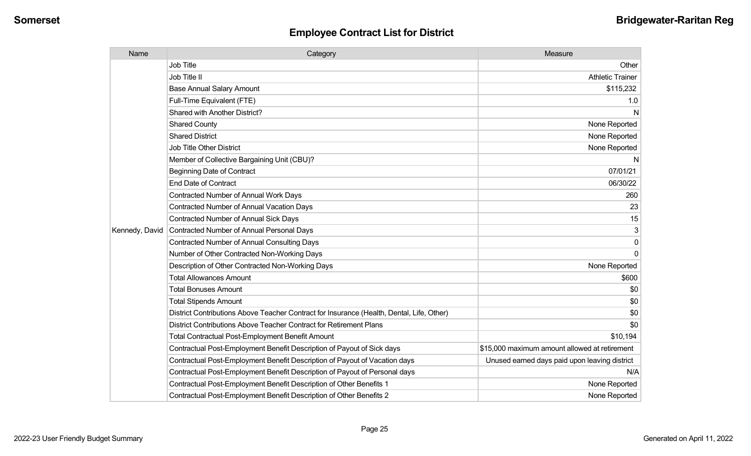| Name           | Category                                                                                  | Measure                                       |
|----------------|-------------------------------------------------------------------------------------------|-----------------------------------------------|
|                | <b>Job Title</b>                                                                          | Other                                         |
|                | Job Title II                                                                              | <b>Athletic Trainer</b>                       |
|                | <b>Base Annual Salary Amount</b>                                                          | \$115,232                                     |
|                | Full-Time Equivalent (FTE)                                                                | 1.0                                           |
|                | Shared with Another District?                                                             | N                                             |
|                | <b>Shared County</b>                                                                      | None Reported                                 |
|                | <b>Shared District</b>                                                                    | None Reported                                 |
|                | Job Title Other District                                                                  | None Reported                                 |
|                | Member of Collective Bargaining Unit (CBU)?                                               | N                                             |
|                | <b>Beginning Date of Contract</b>                                                         | 07/01/21                                      |
|                | <b>End Date of Contract</b>                                                               | 06/30/22                                      |
|                | Contracted Number of Annual Work Days                                                     | 260                                           |
|                | Contracted Number of Annual Vacation Days                                                 | 23                                            |
|                | Contracted Number of Annual Sick Days                                                     | 15                                            |
| Kennedy, David | Contracted Number of Annual Personal Days                                                 | 3                                             |
|                | Contracted Number of Annual Consulting Days                                               | 0                                             |
|                | Number of Other Contracted Non-Working Days                                               | $\Omega$                                      |
|                | Description of Other Contracted Non-Working Days                                          | None Reported                                 |
|                | <b>Total Allowances Amount</b>                                                            | \$600                                         |
|                | <b>Total Bonuses Amount</b>                                                               | \$0                                           |
|                | <b>Total Stipends Amount</b>                                                              | \$0                                           |
|                | District Contributions Above Teacher Contract for Insurance (Health, Dental, Life, Other) | \$0                                           |
|                | District Contributions Above Teacher Contract for Retirement Plans                        | \$0                                           |
|                | Total Contractual Post-Employment Benefit Amount                                          | \$10,194                                      |
|                | Contractual Post-Employment Benefit Description of Payout of Sick days                    | \$15,000 maximum amount allowed at retirement |
|                | Contractual Post-Employment Benefit Description of Payout of Vacation days                | Unused earned days paid upon leaving district |
|                | Contractual Post-Employment Benefit Description of Payout of Personal days                | N/A                                           |
|                | Contractual Post-Employment Benefit Description of Other Benefits 1                       | None Reported                                 |
|                | Contractual Post-Employment Benefit Description of Other Benefits 2                       | None Reported                                 |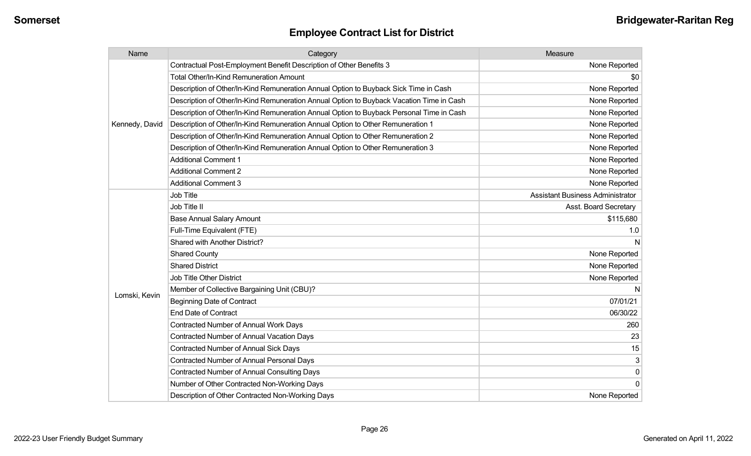| Name           | Category                                                                                 | Measure                                 |
|----------------|------------------------------------------------------------------------------------------|-----------------------------------------|
|                | Contractual Post-Employment Benefit Description of Other Benefits 3                      | None Reported                           |
|                | Total Other/In-Kind Remuneration Amount                                                  | \$0                                     |
|                | Description of Other/In-Kind Remuneration Annual Option to Buyback Sick Time in Cash     | None Reported                           |
|                | Description of Other/In-Kind Remuneration Annual Option to Buyback Vacation Time in Cash | None Reported                           |
|                | Description of Other/In-Kind Remuneration Annual Option to Buyback Personal Time in Cash | None Reported                           |
| Kennedy, David | Description of Other/In-Kind Remuneration Annual Option to Other Remuneration 1          | None Reported                           |
|                | Description of Other/In-Kind Remuneration Annual Option to Other Remuneration 2          | None Reported                           |
|                | Description of Other/In-Kind Remuneration Annual Option to Other Remuneration 3          | None Reported                           |
|                | <b>Additional Comment 1</b>                                                              | None Reported                           |
|                | <b>Additional Comment 2</b>                                                              | None Reported                           |
|                | <b>Additional Comment 3</b>                                                              | None Reported                           |
|                | <b>Job Title</b>                                                                         | <b>Assistant Business Administrator</b> |
|                | Job Title II                                                                             | Asst. Board Secretary                   |
|                | <b>Base Annual Salary Amount</b>                                                         | \$115,680                               |
|                | Full-Time Equivalent (FTE)                                                               | 1.0                                     |
|                | Shared with Another District?                                                            | N                                       |
|                | <b>Shared County</b>                                                                     | None Reported                           |
|                | <b>Shared District</b>                                                                   | None Reported                           |
|                | <b>Job Title Other District</b>                                                          | None Reported                           |
|                | Member of Collective Bargaining Unit (CBU)?                                              | N                                       |
| Lomski, Kevin  | <b>Beginning Date of Contract</b>                                                        | 07/01/21                                |
|                | <b>End Date of Contract</b>                                                              | 06/30/22                                |
|                | <b>Contracted Number of Annual Work Days</b>                                             | 260                                     |
|                | <b>Contracted Number of Annual Vacation Days</b>                                         | 23                                      |
|                | <b>Contracted Number of Annual Sick Days</b>                                             | 15                                      |
|                | Contracted Number of Annual Personal Days                                                | 3                                       |
|                | <b>Contracted Number of Annual Consulting Days</b>                                       | $\pmb{0}$                               |
|                | Number of Other Contracted Non-Working Days                                              | $\mathbf 0$                             |
|                | Description of Other Contracted Non-Working Days                                         | None Reported                           |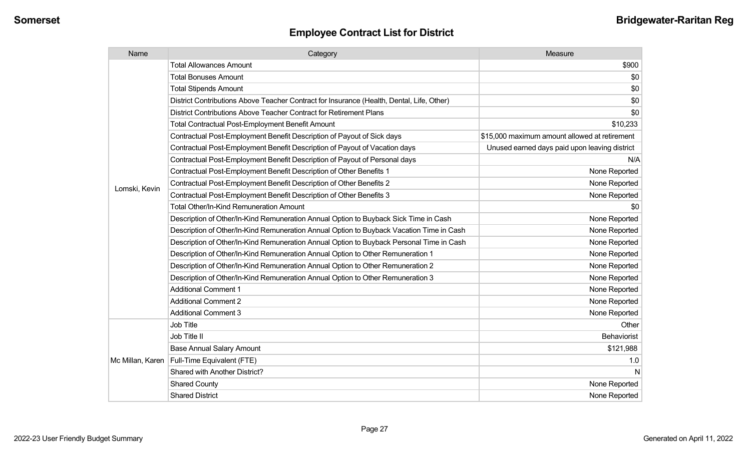| Name             | Category                                                                                  | Measure                                       |
|------------------|-------------------------------------------------------------------------------------------|-----------------------------------------------|
|                  | <b>Total Allowances Amount</b>                                                            | \$900                                         |
|                  | <b>Total Bonuses Amount</b>                                                               | \$0                                           |
|                  | <b>Total Stipends Amount</b>                                                              | \$0                                           |
|                  | District Contributions Above Teacher Contract for Insurance (Health, Dental, Life, Other) | \$0                                           |
|                  | District Contributions Above Teacher Contract for Retirement Plans                        | \$0                                           |
|                  | Total Contractual Post-Employment Benefit Amount                                          | \$10,233                                      |
|                  | Contractual Post-Employment Benefit Description of Payout of Sick days                    | \$15,000 maximum amount allowed at retirement |
|                  | Contractual Post-Employment Benefit Description of Payout of Vacation days                | Unused earned days paid upon leaving district |
|                  | Contractual Post-Employment Benefit Description of Payout of Personal days                | N/A                                           |
|                  | Contractual Post-Employment Benefit Description of Other Benefits 1                       | None Reported                                 |
|                  | Contractual Post-Employment Benefit Description of Other Benefits 2                       | None Reported                                 |
| Lomski, Kevin    | Contractual Post-Employment Benefit Description of Other Benefits 3                       | None Reported                                 |
|                  | <b>Total Other/In-Kind Remuneration Amount</b>                                            | \$0                                           |
|                  | Description of Other/In-Kind Remuneration Annual Option to Buyback Sick Time in Cash      | None Reported                                 |
|                  | Description of Other/In-Kind Remuneration Annual Option to Buyback Vacation Time in Cash  | None Reported                                 |
|                  | Description of Other/In-Kind Remuneration Annual Option to Buyback Personal Time in Cash  | None Reported                                 |
|                  | Description of Other/In-Kind Remuneration Annual Option to Other Remuneration 1           | None Reported                                 |
|                  | Description of Other/In-Kind Remuneration Annual Option to Other Remuneration 2           | None Reported                                 |
|                  | Description of Other/In-Kind Remuneration Annual Option to Other Remuneration 3           | None Reported                                 |
|                  | <b>Additional Comment 1</b>                                                               | None Reported                                 |
|                  | <b>Additional Comment 2</b>                                                               | None Reported                                 |
|                  | <b>Additional Comment 3</b>                                                               | None Reported                                 |
|                  | Job Title                                                                                 | Other                                         |
| Mc Millan, Karen | Job Title II                                                                              | <b>Behaviorist</b>                            |
|                  | <b>Base Annual Salary Amount</b>                                                          | \$121,988                                     |
|                  | Full-Time Equivalent (FTE)                                                                | 1.0                                           |
|                  | Shared with Another District?                                                             | <b>N</b>                                      |
|                  | <b>Shared County</b>                                                                      | None Reported                                 |
|                  | <b>Shared District</b>                                                                    | None Reported                                 |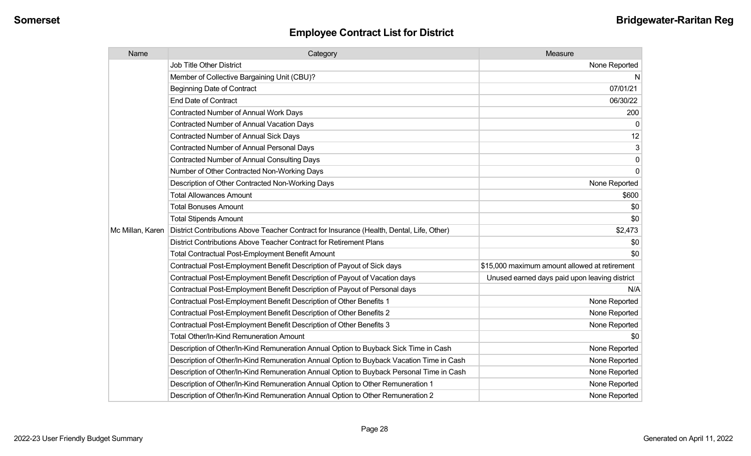| Name             | Category                                                                                  | Measure                                       |
|------------------|-------------------------------------------------------------------------------------------|-----------------------------------------------|
|                  | <b>Job Title Other District</b>                                                           | None Reported                                 |
|                  | Member of Collective Bargaining Unit (CBU)?                                               | N                                             |
|                  | <b>Beginning Date of Contract</b>                                                         | 07/01/21                                      |
|                  | <b>End Date of Contract</b>                                                               | 06/30/22                                      |
|                  | Contracted Number of Annual Work Days                                                     | 200                                           |
|                  | <b>Contracted Number of Annual Vacation Days</b>                                          | 0                                             |
|                  | <b>Contracted Number of Annual Sick Days</b>                                              | 12                                            |
|                  | <b>Contracted Number of Annual Personal Days</b>                                          | 3                                             |
|                  | <b>Contracted Number of Annual Consulting Days</b>                                        | 0                                             |
|                  | Number of Other Contracted Non-Working Days                                               | $\mathbf 0$                                   |
|                  | Description of Other Contracted Non-Working Days                                          | None Reported                                 |
|                  | <b>Total Allowances Amount</b>                                                            | \$600                                         |
|                  | <b>Total Bonuses Amount</b>                                                               | \$0                                           |
|                  | <b>Total Stipends Amount</b>                                                              | \$0                                           |
| Mc Millan, Karen | District Contributions Above Teacher Contract for Insurance (Health, Dental, Life, Other) | \$2,473                                       |
|                  | District Contributions Above Teacher Contract for Retirement Plans                        | \$0                                           |
|                  | <b>Total Contractual Post-Employment Benefit Amount</b>                                   | \$0                                           |
|                  | Contractual Post-Employment Benefit Description of Payout of Sick days                    | \$15,000 maximum amount allowed at retirement |
|                  | Contractual Post-Employment Benefit Description of Payout of Vacation days                | Unused earned days paid upon leaving district |
|                  | Contractual Post-Employment Benefit Description of Payout of Personal days                | N/A                                           |
|                  | Contractual Post-Employment Benefit Description of Other Benefits 1                       | None Reported                                 |
|                  | Contractual Post-Employment Benefit Description of Other Benefits 2                       | None Reported                                 |
|                  | Contractual Post-Employment Benefit Description of Other Benefits 3                       | None Reported                                 |
|                  | <b>Total Other/In-Kind Remuneration Amount</b>                                            | \$0                                           |
|                  | Description of Other/In-Kind Remuneration Annual Option to Buyback Sick Time in Cash      | None Reported                                 |
|                  | Description of Other/In-Kind Remuneration Annual Option to Buyback Vacation Time in Cash  | None Reported                                 |
|                  | Description of Other/In-Kind Remuneration Annual Option to Buyback Personal Time in Cash  | None Reported                                 |
|                  | Description of Other/In-Kind Remuneration Annual Option to Other Remuneration 1           | None Reported                                 |
|                  | Description of Other/In-Kind Remuneration Annual Option to Other Remuneration 2           | None Reported                                 |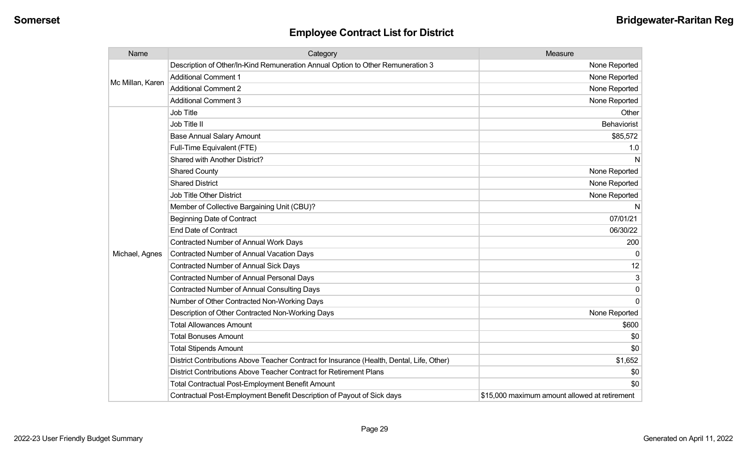| Name             | Category                                                                                  | Measure                                       |
|------------------|-------------------------------------------------------------------------------------------|-----------------------------------------------|
|                  | Description of Other/In-Kind Remuneration Annual Option to Other Remuneration 3           | None Reported                                 |
|                  | <b>Additional Comment 1</b>                                                               | None Reported                                 |
| Mc Millan, Karen | <b>Additional Comment 2</b>                                                               | None Reported                                 |
|                  | <b>Additional Comment 3</b>                                                               | None Reported                                 |
|                  | Job Title                                                                                 | Other                                         |
|                  | Job Title II                                                                              | <b>Behaviorist</b>                            |
|                  | <b>Base Annual Salary Amount</b>                                                          | \$85,572                                      |
|                  | Full-Time Equivalent (FTE)                                                                | 1.0                                           |
|                  | Shared with Another District?                                                             | N                                             |
|                  | <b>Shared County</b>                                                                      | None Reported                                 |
|                  | <b>Shared District</b>                                                                    | None Reported                                 |
|                  | <b>Job Title Other District</b>                                                           | None Reported                                 |
|                  | Member of Collective Bargaining Unit (CBU)?                                               | N                                             |
|                  | <b>Beginning Date of Contract</b>                                                         | 07/01/21                                      |
|                  | <b>End Date of Contract</b>                                                               | 06/30/22                                      |
|                  | Contracted Number of Annual Work Days                                                     | 200                                           |
| Michael, Agnes   | Contracted Number of Annual Vacation Days                                                 | 0                                             |
|                  | <b>Contracted Number of Annual Sick Days</b>                                              | 12                                            |
|                  | <b>Contracted Number of Annual Personal Days</b>                                          | 3                                             |
|                  | <b>Contracted Number of Annual Consulting Days</b>                                        | $\mathbf{0}$                                  |
|                  | Number of Other Contracted Non-Working Days                                               | 0                                             |
|                  | Description of Other Contracted Non-Working Days                                          | None Reported                                 |
|                  | <b>Total Allowances Amount</b>                                                            | \$600                                         |
|                  | <b>Total Bonuses Amount</b>                                                               | \$0                                           |
|                  | <b>Total Stipends Amount</b>                                                              | \$0                                           |
|                  | District Contributions Above Teacher Contract for Insurance (Health, Dental, Life, Other) | \$1,652                                       |
|                  | District Contributions Above Teacher Contract for Retirement Plans                        | \$0                                           |
|                  | <b>Total Contractual Post-Employment Benefit Amount</b>                                   | \$0                                           |
|                  | Contractual Post-Employment Benefit Description of Payout of Sick days                    | \$15,000 maximum amount allowed at retirement |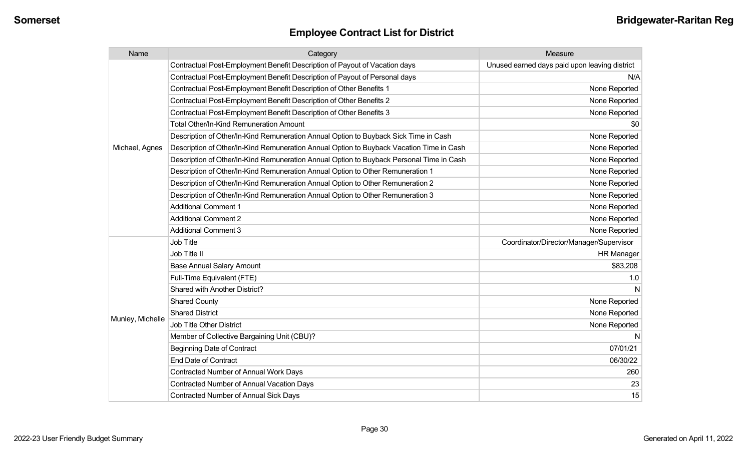| Name             | Category                                                                                 | Measure                                       |
|------------------|------------------------------------------------------------------------------------------|-----------------------------------------------|
|                  | Contractual Post-Employment Benefit Description of Payout of Vacation days               | Unused earned days paid upon leaving district |
|                  | Contractual Post-Employment Benefit Description of Payout of Personal days               | N/A                                           |
|                  | Contractual Post-Employment Benefit Description of Other Benefits 1                      | None Reported                                 |
|                  | Contractual Post-Employment Benefit Description of Other Benefits 2                      | None Reported                                 |
|                  | Contractual Post-Employment Benefit Description of Other Benefits 3                      | None Reported                                 |
|                  | <b>Total Other/In-Kind Remuneration Amount</b>                                           | \$0                                           |
|                  | Description of Other/In-Kind Remuneration Annual Option to Buyback Sick Time in Cash     | None Reported                                 |
| Michael, Agnes   | Description of Other/In-Kind Remuneration Annual Option to Buyback Vacation Time in Cash | None Reported                                 |
|                  | Description of Other/In-Kind Remuneration Annual Option to Buyback Personal Time in Cash | None Reported                                 |
|                  | Description of Other/In-Kind Remuneration Annual Option to Other Remuneration 1          | None Reported                                 |
|                  | Description of Other/In-Kind Remuneration Annual Option to Other Remuneration 2          | None Reported                                 |
|                  | Description of Other/In-Kind Remuneration Annual Option to Other Remuneration 3          | None Reported                                 |
|                  | <b>Additional Comment 1</b>                                                              | None Reported                                 |
|                  | <b>Additional Comment 2</b>                                                              | None Reported                                 |
|                  | <b>Additional Comment 3</b>                                                              | None Reported                                 |
|                  | Job Title                                                                                | Coordinator/Director/Manager/Supervisor       |
|                  | Job Title II                                                                             | <b>HR Manager</b>                             |
|                  | <b>Base Annual Salary Amount</b>                                                         | \$83,208                                      |
|                  | Full-Time Equivalent (FTE)                                                               | 1.0                                           |
|                  | Shared with Another District?                                                            |                                               |
|                  | <b>Shared County</b>                                                                     | None Reported                                 |
|                  | <b>Shared District</b>                                                                   | None Reported                                 |
| Munley, Michelle | <b>Job Title Other District</b>                                                          | None Reported                                 |
|                  | Member of Collective Bargaining Unit (CBU)?                                              |                                               |
|                  | <b>Beginning Date of Contract</b>                                                        | 07/01/21                                      |
|                  | <b>End Date of Contract</b>                                                              | 06/30/22                                      |
|                  | Contracted Number of Annual Work Days                                                    | 260                                           |
|                  | Contracted Number of Annual Vacation Days                                                | 23                                            |
|                  | <b>Contracted Number of Annual Sick Days</b>                                             | 15                                            |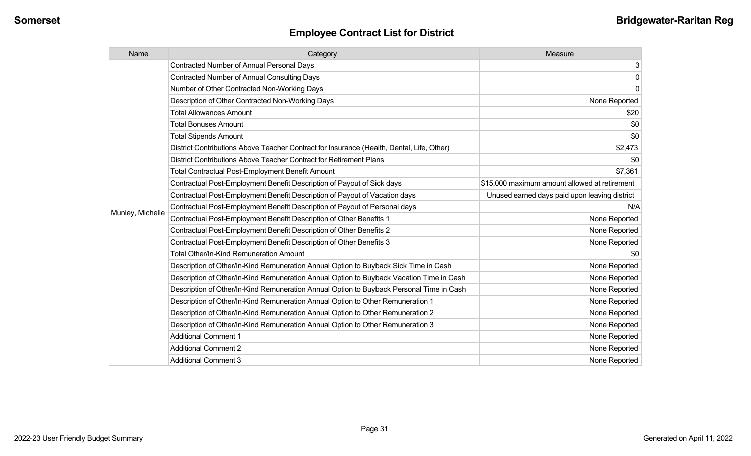| Name             | Category                                                                                  | Measure                                       |
|------------------|-------------------------------------------------------------------------------------------|-----------------------------------------------|
|                  | <b>Contracted Number of Annual Personal Days</b>                                          | 3                                             |
|                  | <b>Contracted Number of Annual Consulting Days</b>                                        | $\mathbf 0$                                   |
|                  | Number of Other Contracted Non-Working Days                                               | $\mathbf 0$                                   |
|                  | Description of Other Contracted Non-Working Days                                          | None Reported                                 |
|                  | <b>Total Allowances Amount</b>                                                            | \$20                                          |
|                  | <b>Total Bonuses Amount</b>                                                               | \$0                                           |
|                  | <b>Total Stipends Amount</b>                                                              | \$0                                           |
|                  | District Contributions Above Teacher Contract for Insurance (Health, Dental, Life, Other) | \$2,473                                       |
|                  | District Contributions Above Teacher Contract for Retirement Plans                        | \$0                                           |
|                  | <b>Total Contractual Post-Employment Benefit Amount</b>                                   | \$7,361                                       |
|                  | Contractual Post-Employment Benefit Description of Payout of Sick days                    | \$15,000 maximum amount allowed at retirement |
|                  | Contractual Post-Employment Benefit Description of Payout of Vacation days                | Unused earned days paid upon leaving district |
|                  | Contractual Post-Employment Benefit Description of Payout of Personal days                | N/A                                           |
| Munley, Michelle | Contractual Post-Employment Benefit Description of Other Benefits 1                       | None Reported                                 |
|                  | Contractual Post-Employment Benefit Description of Other Benefits 2                       | None Reported                                 |
|                  | Contractual Post-Employment Benefit Description of Other Benefits 3                       | None Reported                                 |
|                  | <b>Total Other/In-Kind Remuneration Amount</b>                                            | \$0                                           |
|                  | Description of Other/In-Kind Remuneration Annual Option to Buyback Sick Time in Cash      | None Reported                                 |
|                  | Description of Other/In-Kind Remuneration Annual Option to Buyback Vacation Time in Cash  | None Reported                                 |
|                  | Description of Other/In-Kind Remuneration Annual Option to Buyback Personal Time in Cash  | None Reported                                 |
|                  | Description of Other/In-Kind Remuneration Annual Option to Other Remuneration 1           | None Reported                                 |
|                  | Description of Other/In-Kind Remuneration Annual Option to Other Remuneration 2           | None Reported                                 |
|                  | Description of Other/In-Kind Remuneration Annual Option to Other Remuneration 3           | None Reported                                 |
|                  | <b>Additional Comment 1</b>                                                               | None Reported                                 |
|                  | <b>Additional Comment 2</b>                                                               | None Reported                                 |
|                  | <b>Additional Comment 3</b>                                                               | None Reported                                 |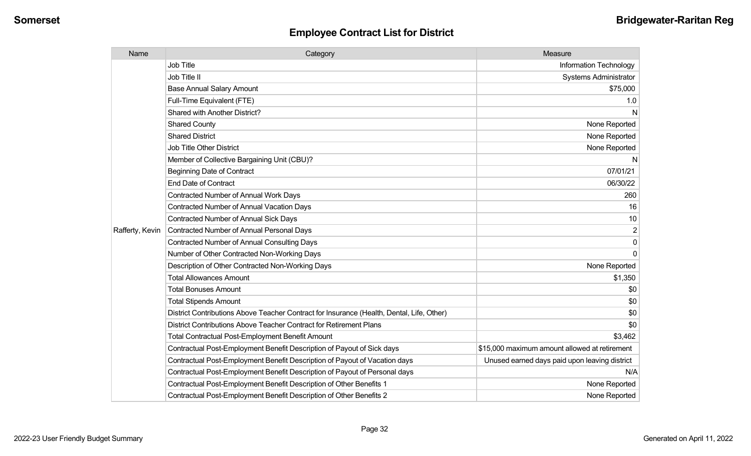| Name            | Category                                                                                  | Measure                                       |
|-----------------|-------------------------------------------------------------------------------------------|-----------------------------------------------|
|                 | <b>Job Title</b>                                                                          | Information Technology                        |
|                 | Job Title II                                                                              | <b>Systems Administrator</b>                  |
|                 | <b>Base Annual Salary Amount</b>                                                          | \$75,000                                      |
|                 | Full-Time Equivalent (FTE)                                                                | 1.0                                           |
|                 | Shared with Another District?                                                             | N                                             |
|                 | <b>Shared County</b>                                                                      | None Reported                                 |
|                 | <b>Shared District</b>                                                                    | None Reported                                 |
|                 | <b>Job Title Other District</b>                                                           | None Reported                                 |
|                 | Member of Collective Bargaining Unit (CBU)?                                               | N                                             |
|                 | <b>Beginning Date of Contract</b>                                                         | 07/01/21                                      |
|                 | <b>End Date of Contract</b>                                                               | 06/30/22                                      |
|                 | Contracted Number of Annual Work Days                                                     | 260                                           |
|                 | Contracted Number of Annual Vacation Days                                                 | 16                                            |
|                 | <b>Contracted Number of Annual Sick Days</b>                                              | 10                                            |
| Rafferty, Kevin | Contracted Number of Annual Personal Days                                                 | $\overline{2}$                                |
|                 | <b>Contracted Number of Annual Consulting Days</b>                                        | $\mathbf{0}$                                  |
|                 | Number of Other Contracted Non-Working Days                                               | $\mathbf{0}$                                  |
|                 | Description of Other Contracted Non-Working Days                                          | None Reported                                 |
|                 | <b>Total Allowances Amount</b>                                                            | \$1,350                                       |
|                 | <b>Total Bonuses Amount</b>                                                               | \$0                                           |
|                 | <b>Total Stipends Amount</b>                                                              | \$0                                           |
|                 | District Contributions Above Teacher Contract for Insurance (Health, Dental, Life, Other) | \$0                                           |
|                 | District Contributions Above Teacher Contract for Retirement Plans                        | \$0                                           |
|                 | <b>Total Contractual Post-Employment Benefit Amount</b>                                   | \$3,462                                       |
|                 | Contractual Post-Employment Benefit Description of Payout of Sick days                    | \$15,000 maximum amount allowed at retirement |
|                 | Contractual Post-Employment Benefit Description of Payout of Vacation days                | Unused earned days paid upon leaving district |
|                 | Contractual Post-Employment Benefit Description of Payout of Personal days                | N/A                                           |
|                 | Contractual Post-Employment Benefit Description of Other Benefits 1                       | None Reported                                 |
|                 | Contractual Post-Employment Benefit Description of Other Benefits 2                       | None Reported                                 |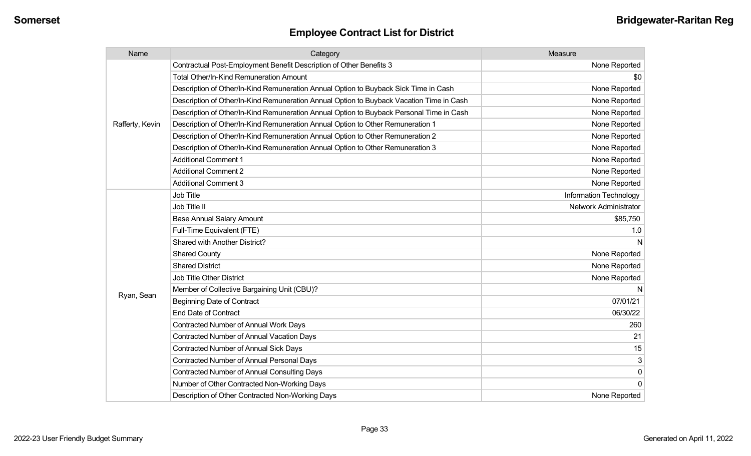| Name            | Category                                                                                 | Measure                   |
|-----------------|------------------------------------------------------------------------------------------|---------------------------|
|                 | Contractual Post-Employment Benefit Description of Other Benefits 3                      | None Reported             |
|                 | <b>Total Other/In-Kind Remuneration Amount</b>                                           | \$0                       |
|                 | Description of Other/In-Kind Remuneration Annual Option to Buyback Sick Time in Cash     | None Reported             |
|                 | Description of Other/In-Kind Remuneration Annual Option to Buyback Vacation Time in Cash | None Reported             |
|                 | Description of Other/In-Kind Remuneration Annual Option to Buyback Personal Time in Cash | None Reported             |
| Rafferty, Kevin | Description of Other/In-Kind Remuneration Annual Option to Other Remuneration 1          | None Reported             |
|                 | Description of Other/In-Kind Remuneration Annual Option to Other Remuneration 2          | None Reported             |
|                 | Description of Other/In-Kind Remuneration Annual Option to Other Remuneration 3          | None Reported             |
|                 | <b>Additional Comment 1</b>                                                              | None Reported             |
|                 | <b>Additional Comment 2</b>                                                              | None Reported             |
|                 | <b>Additional Comment 3</b>                                                              | None Reported             |
|                 | <b>Job Title</b>                                                                         | Information Technology    |
|                 | Job Title II                                                                             | Network Administrator     |
|                 | <b>Base Annual Salary Amount</b>                                                         | \$85,750                  |
|                 | Full-Time Equivalent (FTE)                                                               | 1.0                       |
|                 | Shared with Another District?                                                            | N                         |
|                 | <b>Shared County</b>                                                                     | None Reported             |
|                 | <b>Shared District</b>                                                                   | None Reported             |
|                 | <b>Job Title Other District</b>                                                          | None Reported             |
|                 | Member of Collective Bargaining Unit (CBU)?                                              | N                         |
| Ryan, Sean      | <b>Beginning Date of Contract</b>                                                        | 07/01/21                  |
|                 | <b>End Date of Contract</b>                                                              | 06/30/22                  |
|                 | <b>Contracted Number of Annual Work Days</b>                                             | 260                       |
|                 | <b>Contracted Number of Annual Vacation Days</b>                                         | 21                        |
|                 | Contracted Number of Annual Sick Days                                                    | 15                        |
|                 | <b>Contracted Number of Annual Personal Days</b>                                         | $\ensuremath{\mathsf{3}}$ |
|                 | <b>Contracted Number of Annual Consulting Days</b>                                       | $\pmb{0}$                 |
|                 | Number of Other Contracted Non-Working Days                                              | $\overline{0}$            |
|                 | Description of Other Contracted Non-Working Days                                         | None Reported             |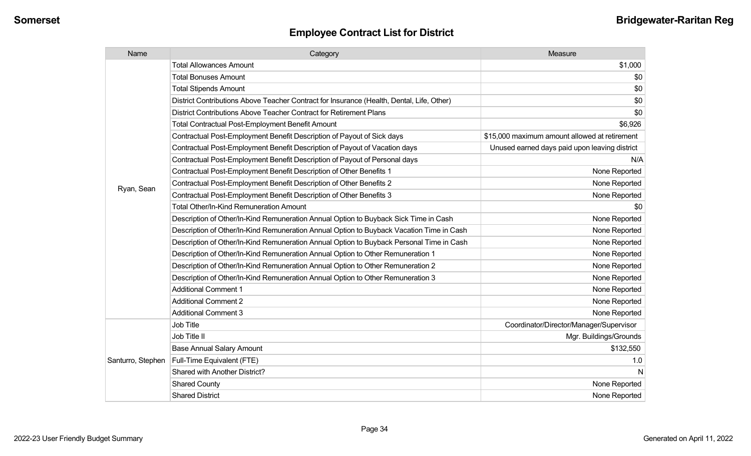| Name              | Category                                                                                  | Measure                                       |
|-------------------|-------------------------------------------------------------------------------------------|-----------------------------------------------|
|                   | <b>Total Allowances Amount</b>                                                            | \$1,000                                       |
|                   | <b>Total Bonuses Amount</b>                                                               | \$0                                           |
|                   | <b>Total Stipends Amount</b>                                                              | \$0                                           |
|                   | District Contributions Above Teacher Contract for Insurance (Health, Dental, Life, Other) | \$0                                           |
|                   | District Contributions Above Teacher Contract for Retirement Plans                        | \$0                                           |
|                   | Total Contractual Post-Employment Benefit Amount                                          | \$6,926                                       |
|                   | Contractual Post-Employment Benefit Description of Payout of Sick days                    | \$15,000 maximum amount allowed at retirement |
|                   | Contractual Post-Employment Benefit Description of Payout of Vacation days                | Unused earned days paid upon leaving district |
|                   | Contractual Post-Employment Benefit Description of Payout of Personal days                | N/A                                           |
|                   | Contractual Post-Employment Benefit Description of Other Benefits 1                       | None Reported                                 |
|                   | Contractual Post-Employment Benefit Description of Other Benefits 2                       | None Reported                                 |
| Ryan, Sean        | Contractual Post-Employment Benefit Description of Other Benefits 3                       | None Reported                                 |
|                   | Total Other/In-Kind Remuneration Amount                                                   | \$0                                           |
|                   | Description of Other/In-Kind Remuneration Annual Option to Buyback Sick Time in Cash      | None Reported                                 |
|                   | Description of Other/In-Kind Remuneration Annual Option to Buyback Vacation Time in Cash  | None Reported                                 |
|                   | Description of Other/In-Kind Remuneration Annual Option to Buyback Personal Time in Cash  | None Reported                                 |
|                   | Description of Other/In-Kind Remuneration Annual Option to Other Remuneration 1           | None Reported                                 |
|                   | Description of Other/In-Kind Remuneration Annual Option to Other Remuneration 2           | None Reported                                 |
|                   | Description of Other/In-Kind Remuneration Annual Option to Other Remuneration 3           | None Reported                                 |
|                   | <b>Additional Comment 1</b>                                                               | None Reported                                 |
|                   | <b>Additional Comment 2</b>                                                               | None Reported                                 |
|                   | <b>Additional Comment 3</b>                                                               | None Reported                                 |
|                   | Job Title                                                                                 | Coordinator/Director/Manager/Supervisor       |
| Santurro, Stephen | Job Title II                                                                              | Mgr. Buildings/Grounds                        |
|                   | <b>Base Annual Salary Amount</b>                                                          | \$132,550                                     |
|                   | Full-Time Equivalent (FTE)                                                                | 1.0                                           |
|                   | Shared with Another District?                                                             | N                                             |
|                   | <b>Shared County</b>                                                                      | None Reported                                 |
|                   | <b>Shared District</b>                                                                    | None Reported                                 |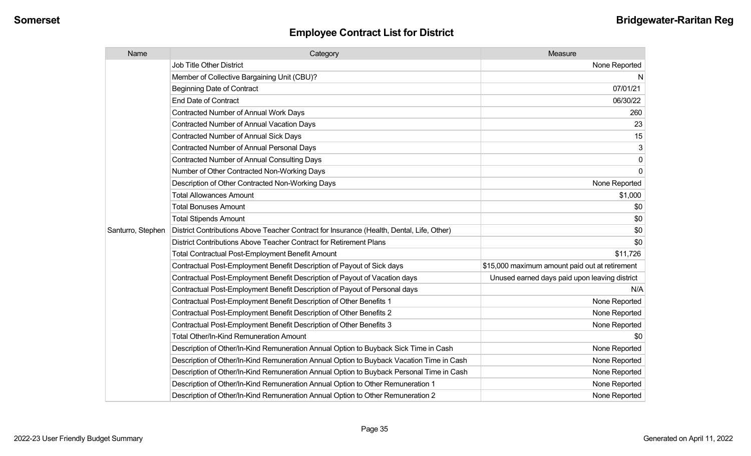| Name              | Category                                                                                  | Measure                                        |
|-------------------|-------------------------------------------------------------------------------------------|------------------------------------------------|
|                   | <b>Job Title Other District</b>                                                           | None Reported                                  |
|                   | Member of Collective Bargaining Unit (CBU)?                                               | -N                                             |
|                   | <b>Beginning Date of Contract</b>                                                         | 07/01/21                                       |
|                   | <b>End Date of Contract</b>                                                               | 06/30/22                                       |
|                   | Contracted Number of Annual Work Days                                                     | 260                                            |
|                   | <b>Contracted Number of Annual Vacation Days</b>                                          | 23                                             |
|                   | <b>Contracted Number of Annual Sick Days</b>                                              | 15                                             |
|                   | <b>Contracted Number of Annual Personal Days</b>                                          | 3                                              |
|                   | <b>Contracted Number of Annual Consulting Days</b>                                        | 0                                              |
|                   | Number of Other Contracted Non-Working Days                                               | $\Omega$                                       |
|                   | Description of Other Contracted Non-Working Days                                          | None Reported                                  |
|                   | <b>Total Allowances Amount</b>                                                            | \$1,000                                        |
|                   | <b>Total Bonuses Amount</b>                                                               | \$0                                            |
|                   | <b>Total Stipends Amount</b>                                                              | \$0                                            |
| Santurro, Stephen | District Contributions Above Teacher Contract for Insurance (Health, Dental, Life, Other) | \$0                                            |
|                   | District Contributions Above Teacher Contract for Retirement Plans                        | \$0                                            |
|                   | <b>Total Contractual Post-Employment Benefit Amount</b>                                   | \$11,726                                       |
|                   | Contractual Post-Employment Benefit Description of Payout of Sick days                    | \$15,000 maximum amount paid out at retirement |
|                   | Contractual Post-Employment Benefit Description of Payout of Vacation days                | Unused earned days paid upon leaving district  |
|                   | Contractual Post-Employment Benefit Description of Payout of Personal days                | N/A                                            |
|                   | Contractual Post-Employment Benefit Description of Other Benefits 1                       | None Reported                                  |
|                   | Contractual Post-Employment Benefit Description of Other Benefits 2                       | None Reported                                  |
|                   | Contractual Post-Employment Benefit Description of Other Benefits 3                       | None Reported                                  |
|                   | <b>Total Other/In-Kind Remuneration Amount</b>                                            | \$0                                            |
|                   | Description of Other/In-Kind Remuneration Annual Option to Buyback Sick Time in Cash      | None Reported                                  |
|                   | Description of Other/In-Kind Remuneration Annual Option to Buyback Vacation Time in Cash  | None Reported                                  |
|                   | Description of Other/In-Kind Remuneration Annual Option to Buyback Personal Time in Cash  | None Reported                                  |
|                   | Description of Other/In-Kind Remuneration Annual Option to Other Remuneration 1           | None Reported                                  |
|                   | Description of Other/In-Kind Remuneration Annual Option to Other Remuneration 2           | None Reported                                  |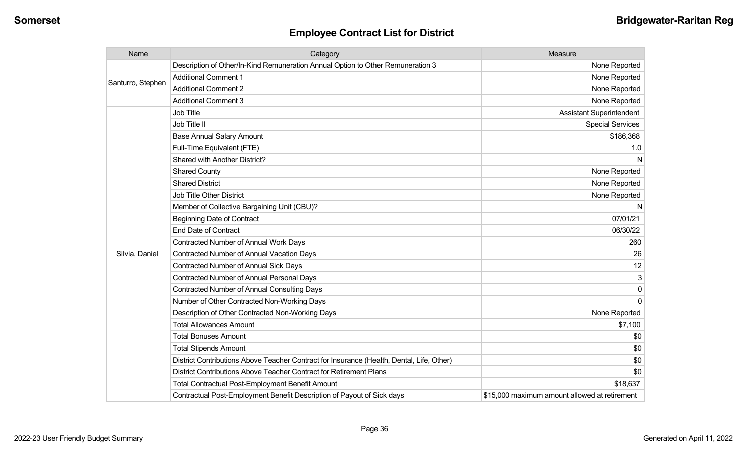| Name              | Category                                                                                  | Measure                                       |
|-------------------|-------------------------------------------------------------------------------------------|-----------------------------------------------|
| Santurro, Stephen | Description of Other/In-Kind Remuneration Annual Option to Other Remuneration 3           | None Reported                                 |
|                   | <b>Additional Comment 1</b>                                                               | None Reported                                 |
|                   | <b>Additional Comment 2</b>                                                               | None Reported                                 |
|                   | <b>Additional Comment 3</b>                                                               | None Reported                                 |
|                   | Job Title                                                                                 | <b>Assistant Superintendent</b>               |
|                   | Job Title II                                                                              | <b>Special Services</b>                       |
|                   | <b>Base Annual Salary Amount</b>                                                          | \$186,368                                     |
|                   | Full-Time Equivalent (FTE)                                                                | 1.0                                           |
|                   | Shared with Another District?                                                             | N                                             |
|                   | <b>Shared County</b>                                                                      | None Reported                                 |
|                   | <b>Shared District</b>                                                                    | None Reported                                 |
|                   | <b>Job Title Other District</b>                                                           | None Reported                                 |
|                   | Member of Collective Bargaining Unit (CBU)?                                               | N                                             |
|                   | <b>Beginning Date of Contract</b>                                                         | 07/01/21                                      |
|                   | <b>End Date of Contract</b>                                                               | 06/30/22                                      |
|                   | <b>Contracted Number of Annual Work Days</b>                                              | 260                                           |
| Silvia, Daniel    | <b>Contracted Number of Annual Vacation Days</b>                                          | 26                                            |
|                   | Contracted Number of Annual Sick Days                                                     | 12                                            |
|                   | Contracted Number of Annual Personal Days                                                 | 3                                             |
|                   | <b>Contracted Number of Annual Consulting Days</b>                                        | $\mathbf{0}$                                  |
|                   | Number of Other Contracted Non-Working Days                                               | $\Omega$                                      |
|                   | Description of Other Contracted Non-Working Days                                          | None Reported                                 |
|                   | <b>Total Allowances Amount</b>                                                            | \$7,100                                       |
|                   | <b>Total Bonuses Amount</b>                                                               | \$0                                           |
|                   | <b>Total Stipends Amount</b>                                                              | \$0                                           |
|                   | District Contributions Above Teacher Contract for Insurance (Health, Dental, Life, Other) | \$0                                           |
|                   | District Contributions Above Teacher Contract for Retirement Plans                        | \$0                                           |
|                   | <b>Total Contractual Post-Employment Benefit Amount</b>                                   | \$18,637                                      |
|                   | Contractual Post-Employment Benefit Description of Payout of Sick days                    | \$15,000 maximum amount allowed at retirement |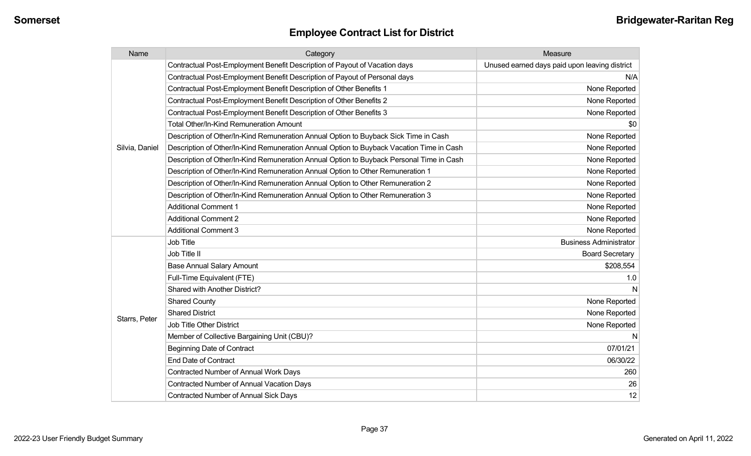| Name           | Category                                                                                 | Measure                                       |
|----------------|------------------------------------------------------------------------------------------|-----------------------------------------------|
|                | Contractual Post-Employment Benefit Description of Payout of Vacation days               | Unused earned days paid upon leaving district |
|                | Contractual Post-Employment Benefit Description of Payout of Personal days               | N/A                                           |
|                | Contractual Post-Employment Benefit Description of Other Benefits 1                      | None Reported                                 |
|                | Contractual Post-Employment Benefit Description of Other Benefits 2                      | None Reported                                 |
|                | Contractual Post-Employment Benefit Description of Other Benefits 3                      | None Reported                                 |
|                | <b>Total Other/In-Kind Remuneration Amount</b>                                           | \$0                                           |
|                | Description of Other/In-Kind Remuneration Annual Option to Buyback Sick Time in Cash     | None Reported                                 |
| Silvia, Daniel | Description of Other/In-Kind Remuneration Annual Option to Buyback Vacation Time in Cash | None Reported                                 |
|                | Description of Other/In-Kind Remuneration Annual Option to Buyback Personal Time in Cash | None Reported                                 |
|                | Description of Other/In-Kind Remuneration Annual Option to Other Remuneration 1          | None Reported                                 |
|                | Description of Other/In-Kind Remuneration Annual Option to Other Remuneration 2          | None Reported                                 |
|                | Description of Other/In-Kind Remuneration Annual Option to Other Remuneration 3          | None Reported                                 |
|                | <b>Additional Comment 1</b>                                                              | None Reported                                 |
|                | <b>Additional Comment 2</b>                                                              | None Reported                                 |
|                | <b>Additional Comment 3</b>                                                              | None Reported                                 |
|                | Job Title                                                                                | <b>Business Administrator</b>                 |
|                | Job Title II                                                                             | <b>Board Secretary</b>                        |
|                | <b>Base Annual Salary Amount</b>                                                         | \$208,554                                     |
|                | Full-Time Equivalent (FTE)                                                               | 1.0                                           |
|                | Shared with Another District?                                                            | N                                             |
|                | <b>Shared County</b>                                                                     | None Reported                                 |
| Starrs, Peter  | <b>Shared District</b>                                                                   | None Reported                                 |
|                | <b>Job Title Other District</b>                                                          | None Reported                                 |
|                | Member of Collective Bargaining Unit (CBU)?                                              | N                                             |
|                | <b>Beginning Date of Contract</b>                                                        | 07/01/21                                      |
|                | <b>End Date of Contract</b>                                                              | 06/30/22                                      |
|                | <b>Contracted Number of Annual Work Days</b>                                             | 260                                           |
|                | <b>Contracted Number of Annual Vacation Days</b>                                         | 26                                            |
|                | <b>Contracted Number of Annual Sick Days</b>                                             | 12                                            |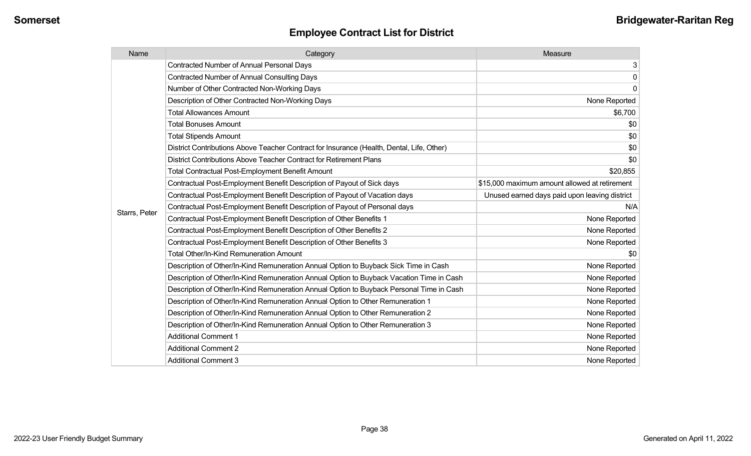| Name          | Category                                                                                  | Measure                                       |
|---------------|-------------------------------------------------------------------------------------------|-----------------------------------------------|
|               | <b>Contracted Number of Annual Personal Days</b>                                          | 3                                             |
|               | <b>Contracted Number of Annual Consulting Days</b>                                        | $\mathbf 0$                                   |
|               | Number of Other Contracted Non-Working Days                                               | $\mathbf 0$                                   |
|               | Description of Other Contracted Non-Working Days                                          | None Reported                                 |
|               | <b>Total Allowances Amount</b>                                                            | \$6,700                                       |
|               | <b>Total Bonuses Amount</b>                                                               | \$0                                           |
|               | <b>Total Stipends Amount</b>                                                              | \$0                                           |
|               | District Contributions Above Teacher Contract for Insurance (Health, Dental, Life, Other) | \$0                                           |
|               | District Contributions Above Teacher Contract for Retirement Plans                        | \$0                                           |
|               | <b>Total Contractual Post-Employment Benefit Amount</b>                                   | \$20,855                                      |
|               | Contractual Post-Employment Benefit Description of Payout of Sick days                    | \$15,000 maximum amount allowed at retirement |
|               | Contractual Post-Employment Benefit Description of Payout of Vacation days                | Unused earned days paid upon leaving district |
|               | Contractual Post-Employment Benefit Description of Payout of Personal days                | N/A                                           |
| Starrs, Peter | Contractual Post-Employment Benefit Description of Other Benefits 1                       | None Reported                                 |
|               | Contractual Post-Employment Benefit Description of Other Benefits 2                       | None Reported                                 |
|               | Contractual Post-Employment Benefit Description of Other Benefits 3                       | None Reported                                 |
|               | <b>Total Other/In-Kind Remuneration Amount</b>                                            | \$0                                           |
|               | Description of Other/In-Kind Remuneration Annual Option to Buyback Sick Time in Cash      | None Reported                                 |
|               | Description of Other/In-Kind Remuneration Annual Option to Buyback Vacation Time in Cash  | None Reported                                 |
|               | Description of Other/In-Kind Remuneration Annual Option to Buyback Personal Time in Cash  | None Reported                                 |
|               | Description of Other/In-Kind Remuneration Annual Option to Other Remuneration 1           | None Reported                                 |
|               | Description of Other/In-Kind Remuneration Annual Option to Other Remuneration 2           | None Reported                                 |
|               | Description of Other/In-Kind Remuneration Annual Option to Other Remuneration 3           | None Reported                                 |
|               | <b>Additional Comment 1</b>                                                               | None Reported                                 |
|               | <b>Additional Comment 2</b>                                                               | None Reported                                 |
|               | <b>Additional Comment 3</b>                                                               | None Reported                                 |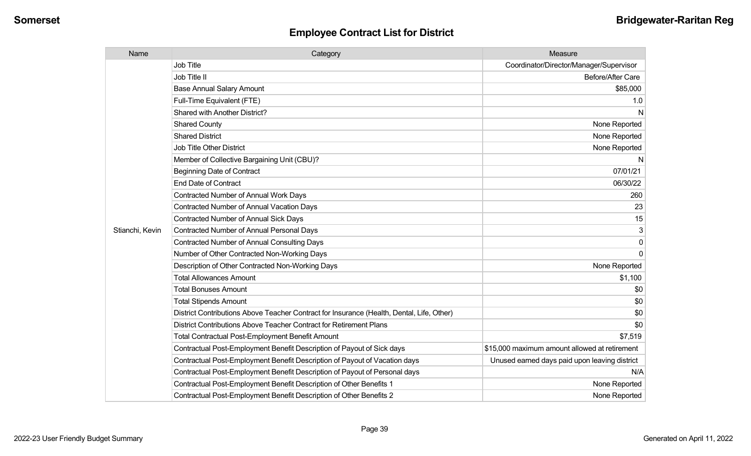| Name            | Category                                                                                  | Measure                                       |
|-----------------|-------------------------------------------------------------------------------------------|-----------------------------------------------|
|                 | <b>Job Title</b>                                                                          | Coordinator/Director/Manager/Supervisor       |
|                 | Job Title II                                                                              | Before/After Care                             |
|                 | <b>Base Annual Salary Amount</b>                                                          | \$85,000                                      |
|                 | Full-Time Equivalent (FTE)                                                                | 1.0                                           |
|                 | Shared with Another District?                                                             | $\mathsf{N}$                                  |
|                 | <b>Shared County</b>                                                                      | None Reported                                 |
|                 | <b>Shared District</b>                                                                    | None Reported                                 |
|                 | <b>Job Title Other District</b>                                                           | None Reported                                 |
|                 | Member of Collective Bargaining Unit (CBU)?                                               | N                                             |
|                 | <b>Beginning Date of Contract</b>                                                         | 07/01/21                                      |
|                 | <b>End Date of Contract</b>                                                               | 06/30/22                                      |
|                 | <b>Contracted Number of Annual Work Days</b>                                              | 260                                           |
|                 | <b>Contracted Number of Annual Vacation Days</b>                                          | 23                                            |
|                 | <b>Contracted Number of Annual Sick Days</b>                                              | 15                                            |
| Stianchi, Kevin | <b>Contracted Number of Annual Personal Days</b>                                          | 3                                             |
|                 | <b>Contracted Number of Annual Consulting Days</b>                                        | $\Omega$                                      |
|                 | Number of Other Contracted Non-Working Days                                               | $\Omega$                                      |
|                 | Description of Other Contracted Non-Working Days                                          | None Reported                                 |
|                 | <b>Total Allowances Amount</b>                                                            | \$1,100                                       |
|                 | <b>Total Bonuses Amount</b>                                                               | \$0                                           |
|                 | <b>Total Stipends Amount</b>                                                              | \$0                                           |
|                 | District Contributions Above Teacher Contract for Insurance (Health, Dental, Life, Other) | \$0                                           |
|                 | District Contributions Above Teacher Contract for Retirement Plans                        | \$0                                           |
|                 | <b>Total Contractual Post-Employment Benefit Amount</b>                                   | \$7,519                                       |
|                 | Contractual Post-Employment Benefit Description of Payout of Sick days                    | \$15,000 maximum amount allowed at retirement |
|                 | Contractual Post-Employment Benefit Description of Payout of Vacation days                | Unused earned days paid upon leaving district |
|                 | Contractual Post-Employment Benefit Description of Payout of Personal days                | N/A                                           |
|                 | Contractual Post-Employment Benefit Description of Other Benefits 1                       | None Reported                                 |
|                 | Contractual Post-Employment Benefit Description of Other Benefits 2                       | None Reported                                 |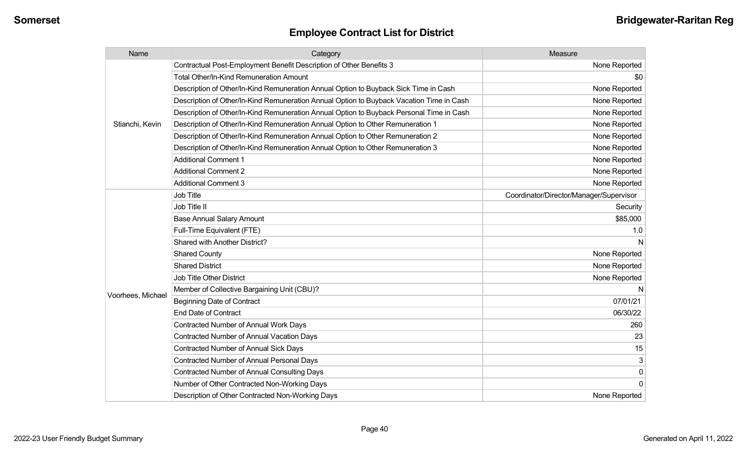| Name              | Category                                                                                 | Measure                                 |
|-------------------|------------------------------------------------------------------------------------------|-----------------------------------------|
| Stianchi, Kevin   | Contractual Post-Employment Benefit Description of Other Benefits 3                      | None Reported                           |
|                   | Total Other/In-Kind Remuneration Amount                                                  | \$0                                     |
|                   | Description of Other/In-Kind Remuneration Annual Option to Buyback Sick Time in Cash     | None Reported                           |
|                   | Description of Other/In-Kind Remuneration Annual Option to Buyback Vacation Time in Cash | None Reported                           |
|                   | Description of Other/In-Kind Remuneration Annual Option to Buyback Personal Time in Cash | None Reported                           |
|                   | Description of Other/In-Kind Remuneration Annual Option to Other Remuneration 1          | None Reported                           |
|                   | Description of Other/In-Kind Remuneration Annual Option to Other Remuneration 2          | None Reported                           |
|                   | Description of Other/In-Kind Remuneration Annual Option to Other Remuneration 3          | None Reported                           |
|                   | <b>Additional Comment 1</b>                                                              | None Reported                           |
|                   | <b>Additional Comment 2</b>                                                              | None Reported                           |
|                   | <b>Additional Comment 3</b>                                                              | None Reported                           |
|                   | <b>Job Title</b>                                                                         | Coordinator/Director/Manager/Supervisor |
|                   | Job Title II                                                                             | Security                                |
|                   | <b>Base Annual Salary Amount</b>                                                         | \$85,000                                |
|                   | Full-Time Equivalent (FTE)                                                               | 1.0                                     |
|                   | Shared with Another District?                                                            |                                         |
|                   | <b>Shared County</b>                                                                     | None Reported                           |
|                   | <b>Shared District</b>                                                                   | None Reported                           |
|                   | <b>Job Title Other District</b>                                                          | None Reported                           |
|                   | Member of Collective Bargaining Unit (CBU)?                                              |                                         |
| Voorhees, Michael | <b>Beginning Date of Contract</b>                                                        | 07/01/21                                |
|                   | <b>End Date of Contract</b>                                                              | 06/30/22                                |
|                   | <b>Contracted Number of Annual Work Days</b>                                             | 260                                     |
|                   | <b>Contracted Number of Annual Vacation Days</b>                                         | 23                                      |
|                   | Contracted Number of Annual Sick Days                                                    | 15                                      |
|                   | <b>Contracted Number of Annual Personal Days</b>                                         | 3                                       |
|                   | Contracted Number of Annual Consulting Days                                              | $\mathbf 0$                             |
|                   | Number of Other Contracted Non-Working Days                                              | $\Omega$                                |
|                   | Description of Other Contracted Non-Working Days                                         | None Reported                           |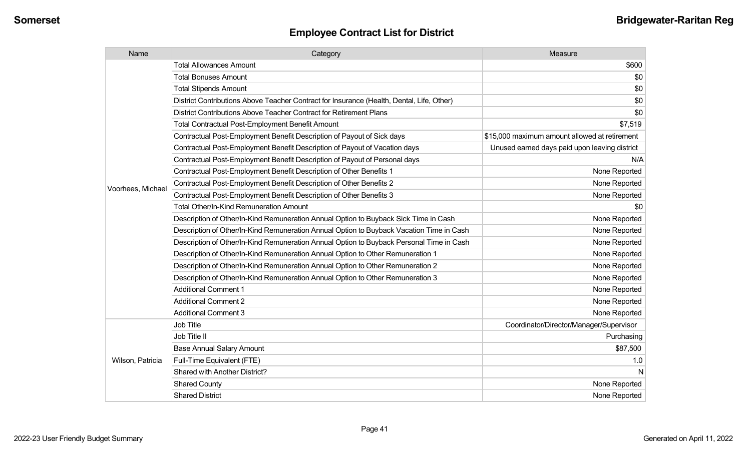| Name              | Category                                                                                  | Measure                                       |
|-------------------|-------------------------------------------------------------------------------------------|-----------------------------------------------|
|                   | <b>Total Allowances Amount</b>                                                            | \$600                                         |
|                   | <b>Total Bonuses Amount</b>                                                               | \$0                                           |
|                   | <b>Total Stipends Amount</b>                                                              | \$0                                           |
|                   | District Contributions Above Teacher Contract for Insurance (Health, Dental, Life, Other) | \$0                                           |
|                   | District Contributions Above Teacher Contract for Retirement Plans                        | \$0                                           |
|                   | <b>Total Contractual Post-Employment Benefit Amount</b>                                   | \$7,519                                       |
|                   | Contractual Post-Employment Benefit Description of Payout of Sick days                    | \$15,000 maximum amount allowed at retirement |
|                   | Contractual Post-Employment Benefit Description of Payout of Vacation days                | Unused earned days paid upon leaving district |
|                   | Contractual Post-Employment Benefit Description of Payout of Personal days                | N/A                                           |
|                   | Contractual Post-Employment Benefit Description of Other Benefits 1                       | None Reported                                 |
|                   | Contractual Post-Employment Benefit Description of Other Benefits 2                       | None Reported                                 |
| Voorhees, Michael | Contractual Post-Employment Benefit Description of Other Benefits 3                       | None Reported                                 |
|                   | <b>Total Other/In-Kind Remuneration Amount</b>                                            | \$0                                           |
|                   | Description of Other/In-Kind Remuneration Annual Option to Buyback Sick Time in Cash      | None Reported                                 |
|                   | Description of Other/In-Kind Remuneration Annual Option to Buyback Vacation Time in Cash  | None Reported                                 |
|                   | Description of Other/In-Kind Remuneration Annual Option to Buyback Personal Time in Cash  | None Reported                                 |
|                   | Description of Other/In-Kind Remuneration Annual Option to Other Remuneration 1           | None Reported                                 |
|                   | Description of Other/In-Kind Remuneration Annual Option to Other Remuneration 2           | None Reported                                 |
|                   | Description of Other/In-Kind Remuneration Annual Option to Other Remuneration 3           | None Reported                                 |
|                   | <b>Additional Comment 1</b>                                                               | None Reported                                 |
|                   | <b>Additional Comment 2</b>                                                               | None Reported                                 |
|                   | <b>Additional Comment 3</b>                                                               | None Reported                                 |
|                   | Job Title                                                                                 | Coordinator/Director/Manager/Supervisor       |
| Wilson, Patricia  | Job Title II                                                                              | Purchasing                                    |
|                   | <b>Base Annual Salary Amount</b>                                                          | \$87,500                                      |
|                   | Full-Time Equivalent (FTE)                                                                | 1.0                                           |
|                   | Shared with Another District?                                                             | N                                             |
|                   | <b>Shared County</b>                                                                      | None Reported                                 |
|                   | <b>Shared District</b>                                                                    | None Reported                                 |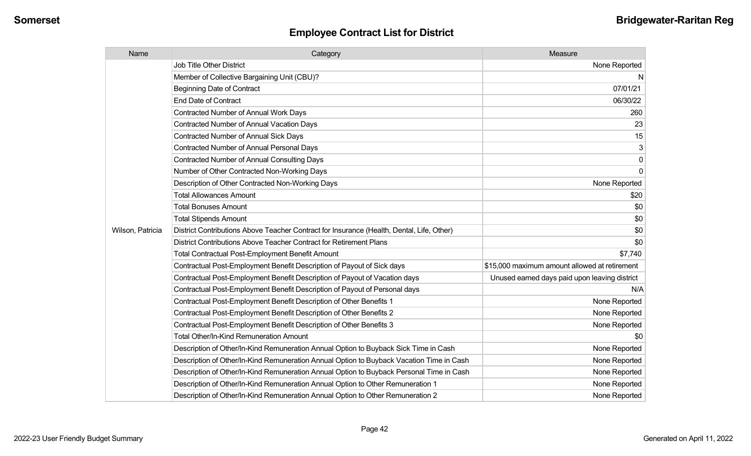| Name             | Category                                                                                  | Measure                                       |
|------------------|-------------------------------------------------------------------------------------------|-----------------------------------------------|
|                  | <b>Job Title Other District</b>                                                           | None Reported                                 |
|                  | Member of Collective Bargaining Unit (CBU)?                                               | N                                             |
|                  | <b>Beginning Date of Contract</b>                                                         | 07/01/21                                      |
|                  | <b>End Date of Contract</b>                                                               | 06/30/22                                      |
|                  | <b>Contracted Number of Annual Work Days</b>                                              | 260                                           |
|                  | Contracted Number of Annual Vacation Days                                                 | 23                                            |
|                  | Contracted Number of Annual Sick Days                                                     | 15                                            |
|                  | <b>Contracted Number of Annual Personal Days</b>                                          | 3                                             |
|                  | <b>Contracted Number of Annual Consulting Days</b>                                        | $\mathbf{0}$                                  |
|                  | Number of Other Contracted Non-Working Days                                               | $\Omega$                                      |
|                  | Description of Other Contracted Non-Working Days                                          | None Reported                                 |
|                  | <b>Total Allowances Amount</b>                                                            | \$20                                          |
|                  | <b>Total Bonuses Amount</b>                                                               | \$0                                           |
|                  | <b>Total Stipends Amount</b>                                                              | \$0                                           |
| Wilson, Patricia | District Contributions Above Teacher Contract for Insurance (Health, Dental, Life, Other) | \$0                                           |
|                  | District Contributions Above Teacher Contract for Retirement Plans                        | \$0                                           |
|                  | <b>Total Contractual Post-Employment Benefit Amount</b>                                   | \$7,740                                       |
|                  | Contractual Post-Employment Benefit Description of Payout of Sick days                    | \$15,000 maximum amount allowed at retirement |
|                  | Contractual Post-Employment Benefit Description of Payout of Vacation days                | Unused earned days paid upon leaving district |
|                  | Contractual Post-Employment Benefit Description of Payout of Personal days                | N/A                                           |
|                  | Contractual Post-Employment Benefit Description of Other Benefits 1                       | None Reported                                 |
|                  | Contractual Post-Employment Benefit Description of Other Benefits 2                       | None Reported                                 |
|                  | Contractual Post-Employment Benefit Description of Other Benefits 3                       | None Reported                                 |
|                  | Total Other/In-Kind Remuneration Amount                                                   | \$0                                           |
|                  | Description of Other/In-Kind Remuneration Annual Option to Buyback Sick Time in Cash      | None Reported                                 |
|                  | Description of Other/In-Kind Remuneration Annual Option to Buyback Vacation Time in Cash  | None Reported                                 |
|                  | Description of Other/In-Kind Remuneration Annual Option to Buyback Personal Time in Cash  | None Reported                                 |
|                  | Description of Other/In-Kind Remuneration Annual Option to Other Remuneration 1           | None Reported                                 |
|                  | Description of Other/In-Kind Remuneration Annual Option to Other Remuneration 2           | None Reported                                 |